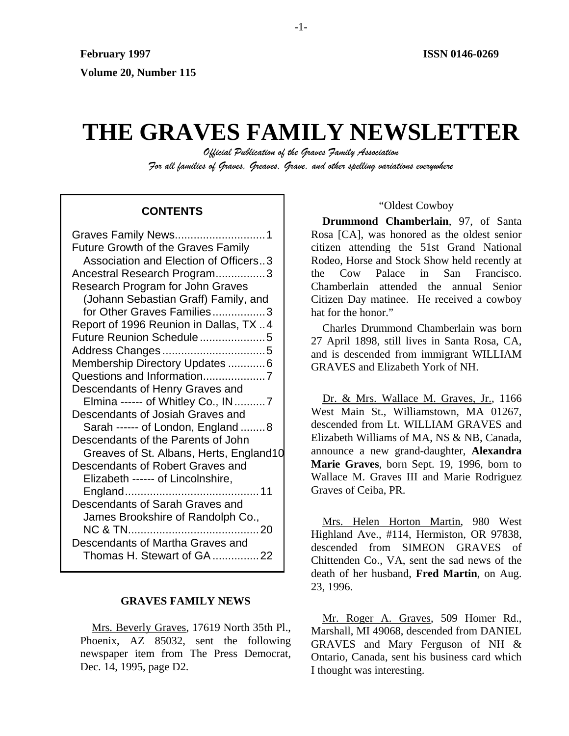# **THE GRAVES FAMILY NEWSLETTER**

*Official Publication of the Graves Family Association For all families of Graves, Greaves, Grave, and other spelling variations everywhere* 

# **CONTENTS**

| Future Growth of the Graves Family      |
|-----------------------------------------|
| Association and Election of Officers3   |
| Ancestral Research Program3             |
| Research Program for John Graves        |
| (Johann Sebastian Graff) Family, and    |
| for Other Graves Families3              |
| Report of 1996 Reunion in Dallas, TX 4  |
| Future Reunion Schedule5                |
|                                         |
| Membership Directory Updates  6         |
|                                         |
| Descendants of Henry Graves and         |
| Elmina ------ of Whitley Co., IN7       |
| Descendants of Josiah Graves and        |
| Sarah ------ of London, England 8       |
| Descendants of the Parents of John      |
| Greaves of St. Albans, Herts, England10 |
| Descendants of Robert Graves and        |
| Elizabeth ------ of Lincolnshire,       |
|                                         |
| Descendants of Sarah Graves and         |
| James Brookshire of Randolph Co.,       |
|                                         |
| Descendants of Martha Graves and        |
| Thomas H. Stewart of GA 22              |

## **GRAVES FAMILY NEWS**

Mrs. Beverly Graves, 17619 North 35th Pl., Phoenix, AZ 85032, sent the following newspaper item from The Press Democrat, Dec. 14, 1995, page D2.

#### "Oldest Cowboy

**Drummond Chamberlain**, 97, of Santa Rosa [CA], was honored as the oldest senior citizen attending the 51st Grand National Rodeo, Horse and Stock Show held recently at the Cow Palace in San Francisco. Chamberlain attended the annual Senior Citizen Day matinee. He received a cowboy hat for the honor."

Charles Drummond Chamberlain was born 27 April 1898, still lives in Santa Rosa, CA, and is descended from immigrant WILLIAM GRAVES and Elizabeth York of NH.

Dr. & Mrs. Wallace M. Graves, Jr., 1166 West Main St., Williamstown, MA 01267, descended from Lt. WILLIAM GRAVES and Elizabeth Williams of MA, NS & NB, Canada, announce a new grand-daughter, **Alexandra Marie Graves**, born Sept. 19, 1996, born to Wallace M. Graves III and Marie Rodriguez Graves of Ceiba, PR.

Mrs. Helen Horton Martin, 980 West Highland Ave., #114, Hermiston, OR 97838, descended from SIMEON GRAVES of Chittenden Co., VA, sent the sad news of the death of her husband, **Fred Martin**, on Aug. 23, 1996.

Mr. Roger A. Graves, 509 Homer Rd., Marshall, MI 49068, descended from DANIEL GRAVES and Mary Ferguson of NH & Ontario, Canada, sent his business card which I thought was interesting.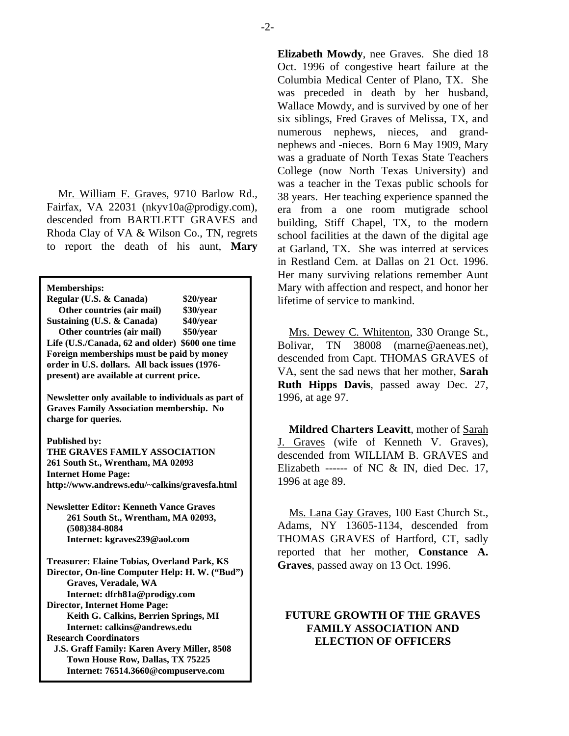Mr. William F. Graves, 9710 Barlow Rd., Fairfax, VA 22031 (nkyv10a@prodigy.com), descended from BARTLETT GRAVES and Rhoda Clay of VA & Wilson Co., TN, regrets to report the death of his aunt, **Mary** 

**Memberships: Regular (U.S. & Canada) \$20/year Other countries (air mail) \$30/year Sustaining (U.S. & Canada) \$40/year Life (U.S./Canada, 62 and older) \$600 one time Foreign memberships must be paid by money order in U.S. dollars. All back issues (1976 present) are available at current price. Newsletter only available to individuals as part of Graves Family Association membership. No charge for queries. Published by: THE GRAVES FAMILY ASSOCIATION 261 South St., Wrentham, MA 02093 Internet Home Page: http://www.andrews.edu/~calkins/gravesfa.html Newsletter Editor: Kenneth Vance Graves**<br>
261 Senth St. Wranthom MA 02002<br>
Ms. Lana Gay Graves, 100 East Church St.,  **261 South St., Wrentham, MA 02093, (508)384-8084 Internet: kgraves239@aol.com Treasurer: Elaine Tobias, Overland Park, KS Director, On-line Computer Help: H. W. ("Bud") Graves, Veradale, WA Internet: dfrh81a@prodigy.com Director, Internet Home Page: Keith G. Calkins, Berrien Springs, MI Internet: calkins@andrews.edu Research Coordinators J.S. Graff Family: Karen Avery Miller, 8508 Town House Row, Dallas, TX 75225 Internet: 76514.3660@compuserve.com**

**Elizabeth Mowdy**, nee Graves. She died 18 Oct. 1996 of congestive heart failure at the Columbia Medical Center of Plano, TX. She was preceded in death by her husband, Wallace Mowdy, and is survived by one of her six siblings, Fred Graves of Melissa, TX, and numerous nephews, nieces, and grandnephews and -nieces. Born 6 May 1909, Mary was a graduate of North Texas State Teachers College (now North Texas University) and was a teacher in the Texas public schools for 38 years. Her teaching experience spanned the era from a one room mutigrade school building, Stiff Chapel, TX, to the modern school facilities at the dawn of the digital age at Garland, TX. She was interred at services in Restland Cem. at Dallas on 21 Oct. 1996. Her many surviving relations remember Aunt Mary with affection and respect, and honor her lifetime of service to mankind.

**Other countries (air mail)** \$50/year Mrs. Dewey C. Whitenton, 330 Orange St., Bolivar, TN 38008 (marne@aeneas.net), descended from Capt. THOMAS GRAVES of VA, sent the sad news that her mother, **Sarah Ruth Hipps Davis**, passed away Dec. 27, 1996, at age 97.

> **Mildred Charters Leavitt**, mother of Sarah J. Graves (wife of Kenneth V. Graves), descended from WILLIAM B. GRAVES and Elizabeth ------ of NC & IN, died Dec. 17, 1996 at age 89.

> Adams, NY 13605-1134, descended from THOMAS GRAVES of Hartford, CT, sadly reported that her mother, **Constance A. Graves**, passed away on 13 Oct. 1996.

# **FUTURE GROWTH OF THE GRAVES FAMILY ASSOCIATION AND ELECTION OF OFFICERS**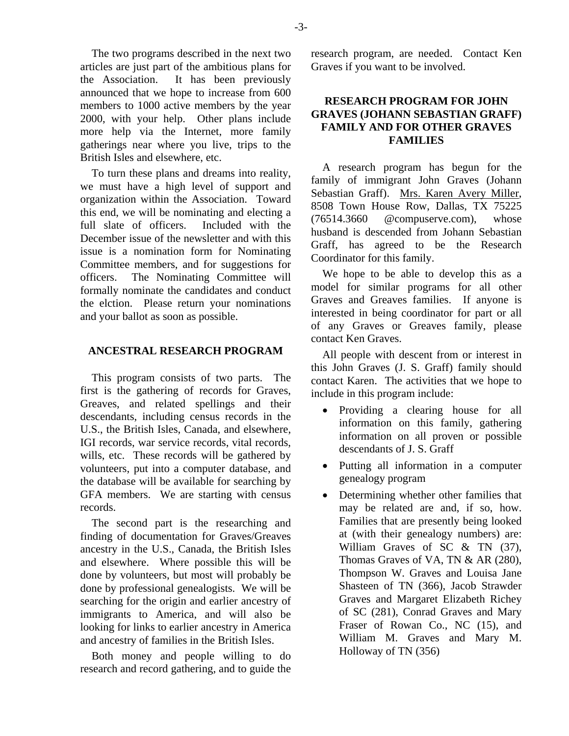The two programs described in the next two articles are just part of the ambitious plans for the Association. It has been previously announced that we hope to increase from 600 members to 1000 active members by the year 2000, with your help. Other plans include more help via the Internet, more family gatherings near where you live, trips to the British Isles and elsewhere, etc.

To turn these plans and dreams into reality, we must have a high level of support and organization within the Association. Toward this end, we will be nominating and electing a full slate of officers. Included with the December issue of the newsletter and with this issue is a nomination form for Nominating Committee members, and for suggestions for officers. The Nominating Committee will formally nominate the candidates and conduct the elction. Please return your nominations and your ballot as soon as possible.

# **ANCESTRAL RESEARCH PROGRAM**

This program consists of two parts. The first is the gathering of records for Graves, Greaves, and related spellings and their descendants, including census records in the U.S., the British Isles, Canada, and elsewhere, IGI records, war service records, vital records, wills, etc. These records will be gathered by volunteers, put into a computer database, and the database will be available for searching by GFA members. We are starting with census records.

The second part is the researching and finding of documentation for Graves/Greaves ancestry in the U.S., Canada, the British Isles and elsewhere. Where possible this will be done by volunteers, but most will probably be done by professional genealogists. We will be searching for the origin and earlier ancestry of immigrants to America, and will also be looking for links to earlier ancestry in America and ancestry of families in the British Isles.

Both money and people willing to do research and record gathering, and to guide the

research program, are needed. Contact Ken Graves if you want to be involved.

# **RESEARCH PROGRAM FOR JOHN GRAVES (JOHANN SEBASTIAN GRAFF) FAMILY AND FOR OTHER GRAVES FAMILIES**

A research program has begun for the family of immigrant John Graves (Johann Sebastian Graff). Mrs. Karen Avery Miller, 8508 Town House Row, Dallas, TX 75225 (76514.3660 @compuserve.com), whose husband is descended from Johann Sebastian Graff, has agreed to be the Research Coordinator for this family.

We hope to be able to develop this as a model for similar programs for all other Graves and Greaves families. If anyone is interested in being coordinator for part or all of any Graves or Greaves family, please contact Ken Graves.

All people with descent from or interest in this John Graves (J. S. Graff) family should contact Karen. The activities that we hope to include in this program include:

- Providing a clearing house for all information on this family, gathering information on all proven or possible descendants of J. S. Graff
- Putting all information in a computer genealogy program
- Determining whether other families that may be related are and, if so, how. Families that are presently being looked at (with their genealogy numbers) are: William Graves of SC & TN (37), Thomas Graves of VA, TN & AR (280), Thompson W. Graves and Louisa Jane Shasteen of TN (366), Jacob Strawder Graves and Margaret Elizabeth Richey of SC (281), Conrad Graves and Mary Fraser of Rowan Co., NC (15), and William M. Graves and Mary M. Holloway of TN (356)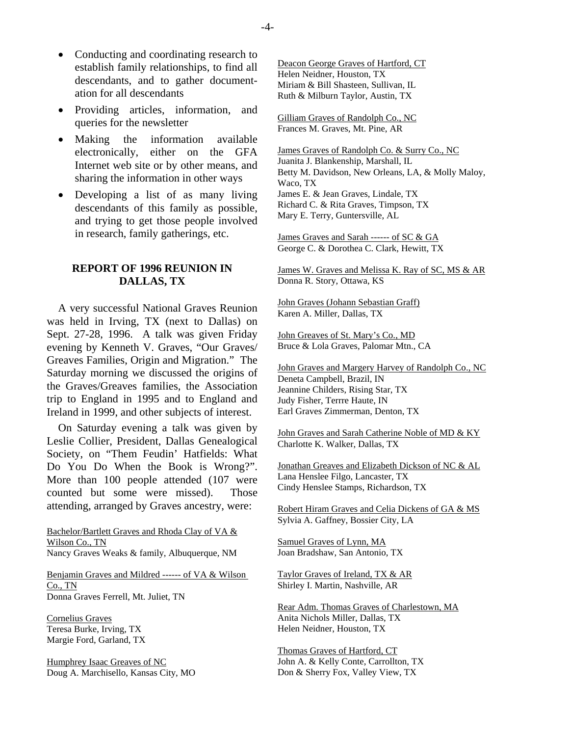- Conducting and coordinating research to establish family relationships, to find all descendants, and to gather documentation for all descendants
- Providing articles, information, and queries for the newsletter
- Making the information available electronically, either on the GFA Internet web site or by other means, and sharing the information in other ways
- Developing a list of as many living descendants of this family as possible, and trying to get those people involved in research, family gatherings, etc.

# **REPORT OF 1996 REUNION IN DALLAS, TX**

A very successful National Graves Reunion was held in Irving, TX (next to Dallas) on Sept. 27-28, 1996. A talk was given Friday evening by Kenneth V. Graves, "Our Graves/ Greaves Families, Origin and Migration." The Saturday morning we discussed the origins of the Graves/Greaves families, the Association trip to England in 1995 and to England and Ireland in 1999, and other subjects of interest.

On Saturday evening a talk was given by Leslie Collier, President, Dallas Genealogical Society, on "Them Feudin' Hatfields: What Do You Do When the Book is Wrong?". More than 100 people attended (107 were counted but some were missed). Those attending, arranged by Graves ancestry, were:

Bachelor/Bartlett Graves and Rhoda Clay of VA & Wilson Co., TN Nancy Graves Weaks & family, Albuquerque, NM

Benjamin Graves and Mildred ------ of VA & Wilson Co., TN Donna Graves Ferrell, Mt. Juliet, TN

Cornelius Graves Teresa Burke, Irving, TX Margie Ford, Garland, TX

Humphrey Isaac Greaves of NC Doug A. Marchisello, Kansas City, MO Deacon George Graves of Hartford, CT Helen Neidner, Houston, TX Miriam & Bill Shasteen, Sullivan, IL Ruth & Milburn Taylor, Austin, TX

Gilliam Graves of Randolph Co., NC Frances M. Graves, Mt. Pine, AR

James Graves of Randolph Co. & Surry Co., NC Juanita J. Blankenship, Marshall, IL Betty M. Davidson, New Orleans, LA, & Molly Maloy, Waco, TX James E. & Jean Graves, Lindale, TX Richard C. & Rita Graves, Timpson, TX Mary E. Terry, Guntersville, AL

James Graves and Sarah ------ of SC & GA George C. & Dorothea C. Clark, Hewitt, TX

James W. Graves and Melissa K. Ray of SC, MS & AR Donna R. Story, Ottawa, KS

John Graves (Johann Sebastian Graff) Karen A. Miller, Dallas, TX

John Greaves of St. Mary's Co., MD Bruce & Lola Graves, Palomar Mtn., CA

John Graves and Margery Harvey of Randolph Co., NC Deneta Campbell, Brazil, IN Jeannine Childers, Rising Star, TX Judy Fisher, Terrre Haute, IN Earl Graves Zimmerman, Denton, TX

John Graves and Sarah Catherine Noble of MD & KY Charlotte K. Walker, Dallas, TX

Jonathan Greaves and Elizabeth Dickson of NC & AL Lana Henslee Filgo, Lancaster, TX Cindy Henslee Stamps, Richardson, TX

Robert Hiram Graves and Celia Dickens of GA & MS Sylvia A. Gaffney, Bossier City, LA

Samuel Graves of Lynn, MA Joan Bradshaw, San Antonio, TX

Taylor Graves of Ireland, TX & AR Shirley I. Martin, Nashville, AR

Rear Adm. Thomas Graves of Charlestown, MA Anita Nichols Miller, Dallas, TX Helen Neidner, Houston, TX

Thomas Graves of Hartford, CT John A. & Kelly Conte, Carrollton, TX Don & Sherry Fox, Valley View, TX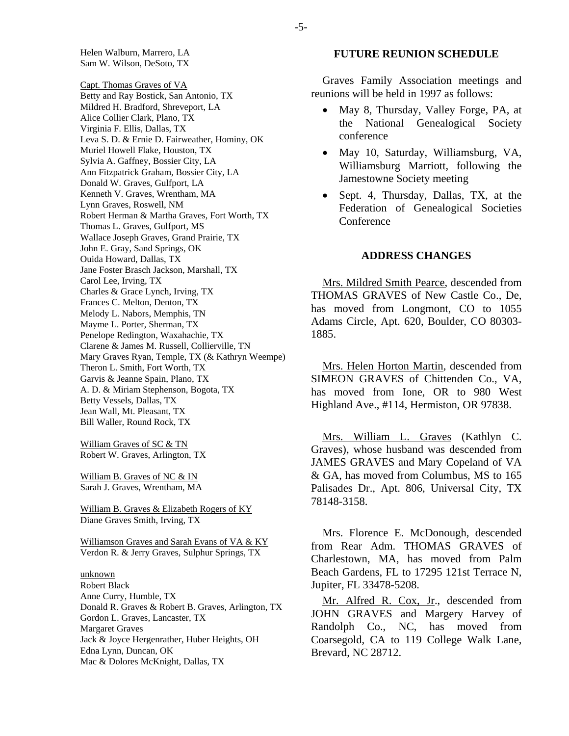Helen Walburn, Marrero, LA Sam W. Wilson, DeSoto, TX

Capt. Thomas Graves of VA Betty and Ray Bostick, San Antonio, TX Mildred H. Bradford, Shreveport, LA Alice Collier Clark, Plano, TX Virginia F. Ellis, Dallas, TX Leva S. D. & Ernie D. Fairweather, Hominy, OK Muriel Howell Flake, Houston, TX Sylvia A. Gaffney, Bossier City, LA Ann Fitzpatrick Graham, Bossier City, LA Donald W. Graves, Gulfport, LA Kenneth V. Graves, Wrentham, MA Lynn Graves, Roswell, NM Robert Herman & Martha Graves, Fort Worth, TX Thomas L. Graves, Gulfport, MS Wallace Joseph Graves, Grand Prairie, TX John E. Gray, Sand Springs, OK Ouida Howard, Dallas, TX Jane Foster Brasch Jackson, Marshall, TX Carol Lee, Irving, TX Charles & Grace Lynch, Irving, TX Frances C. Melton, Denton, TX Melody L. Nabors, Memphis, TN Mayme L. Porter, Sherman, TX Penelope Redington, Waxahachie, TX Clarene & James M. Russell, Collierville, TN Mary Graves Ryan, Temple, TX (& Kathryn Weempe) Theron L. Smith, Fort Worth, TX Garvis & Jeanne Spain, Plano, TX A. D. & Miriam Stephenson, Bogota, TX Betty Vessels, Dallas, TX Jean Wall, Mt. Pleasant, TX Bill Waller, Round Rock, TX

William Graves of SC & TN Robert W. Graves, Arlington, TX

William B. Graves of NC & IN Sarah J. Graves, Wrentham, MA

William B. Graves & Elizabeth Rogers of KY Diane Graves Smith, Irving, TX

Williamson Graves and Sarah Evans of VA & KY Verdon R. & Jerry Graves, Sulphur Springs, TX

#### unknown Robert Black Anne Curry, Humble, TX

Donald R. Graves & Robert B. Graves, Arlington, TX Gordon L. Graves, Lancaster, TX Margaret Graves Jack & Joyce Hergenrather, Huber Heights, OH Edna Lynn, Duncan, OK Mac & Dolores McKnight, Dallas, TX

#### **FUTURE REUNION SCHEDULE**

Graves Family Association meetings and reunions will be held in 1997 as follows:

- May 8, Thursday, Valley Forge, PA, at the National Genealogical Society conference
- May 10, Saturday, Williamsburg, VA, Williamsburg Marriott, following the Jamestowne Society meeting
- Sept. 4, Thursday, Dallas, TX, at the Federation of Genealogical Societies **Conference**

#### **ADDRESS CHANGES**

Mrs. Mildred Smith Pearce, descended from THOMAS GRAVES of New Castle Co., De, has moved from Longmont, CO to 1055 Adams Circle, Apt. 620, Boulder, CO 80303- 1885.

Mrs. Helen Horton Martin, descended from SIMEON GRAVES of Chittenden Co., VA, has moved from Ione, OR to 980 West Highland Ave., #114, Hermiston, OR 97838.

Mrs. William L. Graves (Kathlyn C. Graves), whose husband was descended from JAMES GRAVES and Mary Copeland of VA & GA, has moved from Columbus, MS to 165 Palisades Dr., Apt. 806, Universal City, TX 78148-3158.

Mrs. Florence E. McDonough, descended from Rear Adm. THOMAS GRAVES of Charlestown, MA, has moved from Palm Beach Gardens, FL to 17295 121st Terrace N, Jupiter, FL 33478-5208.

Mr. Alfred R. Cox, Jr., descended from JOHN GRAVES and Margery Harvey of Randolph Co., NC, has moved from Coarsegold, CA to 119 College Walk Lane, Brevard, NC 28712.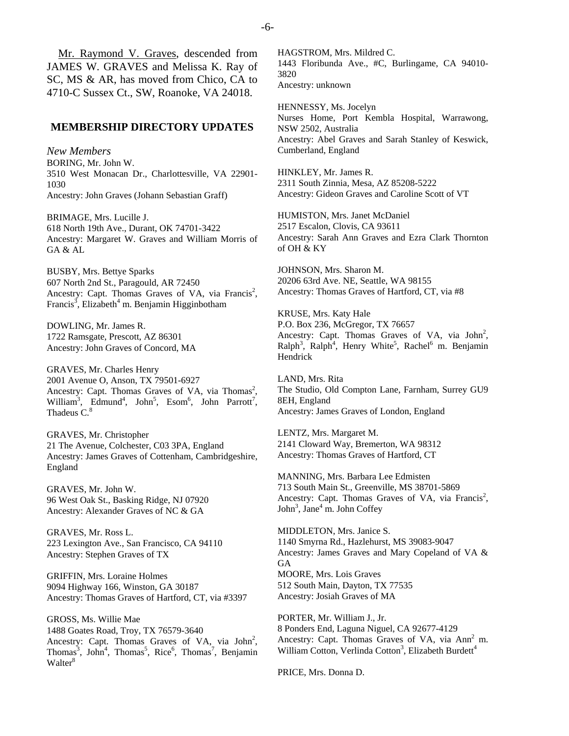Mr. Raymond V. Graves, descended from JAMES W. GRAVES and Melissa K. Ray of SC, MS & AR, has moved from Chico, CA to 4710-C Sussex Ct., SW, Roanoke, VA 24018.

#### **MEMBERSHIP DIRECTORY UPDATES**

*New Members*  BORING, Mr. John W. 3510 West Monacan Dr., Charlottesville, VA 22901- 1030 Ancestry: John Graves (Johann Sebastian Graff)

BRIMAGE, Mrs. Lucille J. 618 North 19th Ave., Durant, OK 74701-3422 Ancestry: Margaret W. Graves and William Morris of GA & AL

BUSBY, Mrs. Bettye Sparks 607 North 2nd St., Paragould, AR 72450 Ancestry: Capt. Thomas Graves of VA, via Francis<sup>2</sup>, Francis<sup>3</sup>, Elizabeth<sup>4</sup> m. Benjamin Higginbotham

DOWLING, Mr. James R. 1722 Ramsgate, Prescott, AZ 86301 Ancestry: John Graves of Concord, MA

GRAVES, Mr. Charles Henry 2001 Avenue O, Anson, TX 79501-6927 Ancestry: Capt. Thomas Graves of VA, via Thomas<sup>2</sup>, William<sup>3</sup>, Edmund<sup>4</sup>, John<sup>5</sup>, Esom<sup>6</sup>, John Parrott<sup>7</sup>, Thadeus C.<sup>8</sup>

GRAVES, Mr. Christopher 21 The Avenue, Colchester, C03 3PA, England Ancestry: James Graves of Cottenham, Cambridgeshire, England

GRAVES, Mr. John W. 96 West Oak St., Basking Ridge, NJ 07920 Ancestry: Alexander Graves of NC & GA

GRAVES, Mr. Ross L. 223 Lexington Ave., San Francisco, CA 94110 Ancestry: Stephen Graves of TX

GRIFFIN, Mrs. Loraine Holmes 9094 Highway 166, Winston, GA 30187 Ancestry: Thomas Graves of Hartford, CT, via #3397

GROSS, Ms. Willie Mae 1488 Goates Road, Troy, TX 76579-3640 Ancestry: Capt. Thomas Graves of VA, via  $John<sup>2</sup>$ , Thomas<sup>3</sup>, John<sup>4</sup>, Thomas<sup>5</sup>, Rice<sup>6</sup>, Thomas<sup>7</sup>, Benjamin Walter<sup>8</sup>

HAGSTROM, Mrs. Mildred C. 1443 Floribunda Ave., #C, Burlingame, CA 94010- 3820 Ancestry: unknown

HENNESSY, Ms. Jocelyn Nurses Home, Port Kembla Hospital, Warrawong, NSW 2502, Australia Ancestry: Abel Graves and Sarah Stanley of Keswick, Cumberland, England

HINKLEY, Mr. James R. 2311 South Zinnia, Mesa, AZ 85208-5222 Ancestry: Gideon Graves and Caroline Scott of VT

HUMISTON, Mrs. Janet McDaniel 2517 Escalon, Clovis, CA 93611 Ancestry: Sarah Ann Graves and Ezra Clark Thornton of OH & KY

JOHNSON, Mrs. Sharon M. 20206 63rd Ave. NE, Seattle, WA 98155 Ancestry: Thomas Graves of Hartford, CT, via #8

KRUSE, Mrs. Katy Hale P.O. Box 236, McGregor, TX 76657 Ancestry: Capt. Thomas Graves of VA, via  $John<sup>2</sup>$ ,  $\text{Ralph}^3$ ,  $\text{Ralph}^4$ , Henry White<sup>5</sup>, Rachel<sup>6</sup> m. Benjamin Hendrick

LAND, Mrs. Rita The Studio, Old Compton Lane, Farnham, Surrey GU9 8EH, England Ancestry: James Graves of London, England

LENTZ, Mrs. Margaret M. 2141 Cloward Way, Bremerton, WA 98312 Ancestry: Thomas Graves of Hartford, CT

MANNING, Mrs. Barbara Lee Edmisten 713 South Main St., Greenville, MS 38701-5869 Ancestry: Capt. Thomas Graves of VA, via Francis<sup>2</sup>, John<sup>3</sup>, Jane<sup>4</sup> m. John Coffey

MIDDLETON, Mrs. Janice S. 1140 Smyrna Rd., Hazlehurst, MS 39083-9047 Ancestry: James Graves and Mary Copeland of VA & GA MOORE, Mrs. Lois Graves 512 South Main, Dayton, TX 77535 Ancestry: Josiah Graves of MA

PORTER, Mr. William J., Jr. 8 Ponders End, Laguna Niguel, CA 92677-4129 Ancestry: Capt. Thomas Graves of VA, via Ann<sup>2</sup> m. William Cotton, Verlinda Cotton<sup>3</sup>, Elizabeth Burdett<sup>4</sup>

PRICE, Mrs. Donna D.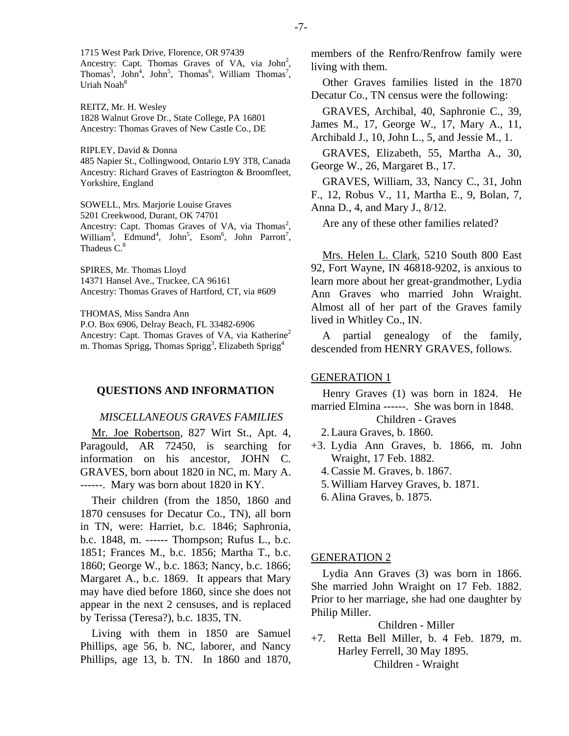1715 West Park Drive, Florence, OR 97439 Ancestry: Capt. Thomas Graves of VA, via  $John<sup>2</sup>$ , Thomas<sup>3</sup>, John<sup>4</sup>, John<sup>5</sup>, Thomas<sup>6</sup>, William Thomas<sup>7</sup>, Uriah Noah<sup>8</sup>

REITZ, Mr. H. Wesley 1828 Walnut Grove Dr., State College, PA 16801 Ancestry: Thomas Graves of New Castle Co., DE

RIPLEY, David & Donna 485 Napier St., Collingwood, Ontario L9Y 3T8, Canada Ancestry: Richard Graves of Eastrington & Broomfleet, Yorkshire, England

SOWELL, Mrs. Marjorie Louise Graves 5201 Creekwood, Durant, OK 74701 Ancestry: Capt. Thomas Graves of VA, via Thomas<sup>2</sup>, William<sup>3</sup>, Edmund<sup>4</sup>, John<sup>5</sup>, Esom<sup>6</sup>, John Parrott<sup>7</sup>, Thadeus C.<sup>8</sup>

SPIRES, Mr. Thomas Lloyd 14371 Hansel Ave., Truckee, CA 96161 Ancestry: Thomas Graves of Hartford, CT, via #609

THOMAS, Miss Sandra Ann

P.O. Box 6906, Delray Beach, FL 33482-6906 Ancestry: Capt. Thomas Graves of VA, via Katherine<sup>2</sup> m. Thomas Sprigg, Thomas Sprigg<sup>3</sup>, Elizabeth Sprigg<sup>4</sup>

## **QUESTIONS AND INFORMATION**

#### *MISCELLANEOUS GRAVES FAMILIES*

Mr. Joe Robertson, 827 Wirt St., Apt. 4, Paragould, AR 72450, is searching for information on his ancestor, JOHN C. GRAVES, born about 1820 in NC, m. Mary A. ------. Mary was born about 1820 in KY.

Their children (from the 1850, 1860 and 1870 censuses for Decatur Co., TN), all born in TN, were: Harriet, b.c. 1846; Saphronia, b.c. 1848, m. ------ Thompson; Rufus L., b.c. 1851; Frances M., b.c. 1856; Martha T., b.c. 1860; George W., b.c. 1863; Nancy, b.c. 1866; Margaret A., b.c. 1869. It appears that Mary may have died before 1860, since she does not appear in the next 2 censuses, and is replaced by Terissa (Teresa?), b.c. 1835, TN.

Living with them in 1850 are Samuel Phillips, age 56, b. NC, laborer, and Nancy Phillips, age 13, b. TN. In 1860 and 1870, members of the Renfro/Renfrow family were living with them.

Other Graves families listed in the 1870 Decatur Co., TN census were the following:

GRAVES, Archibal, 40, Saphronie C., 39, James M., 17, George W., 17, Mary A., 11, Archibald J., 10, John L., 5, and Jessie M., 1.

GRAVES, Elizabeth, 55, Martha A., 30, George W., 26, Margaret B., 17.

GRAVES, William, 33, Nancy C., 31, John F., 12, Robus V., 11, Martha E., 9, Bolan, 7, Anna D., 4, and Mary J., 8/12.

Are any of these other families related?

Mrs. Helen L. Clark, 5210 South 800 East 92, Fort Wayne, IN 46818-9202, is anxious to learn more about her great-grandmother, Lydia Ann Graves who married John Wraight. Almost all of her part of the Graves family lived in Whitley Co., IN.

A partial genealogy of the family, descended from HENRY GRAVES, follows.

#### GENERATION 1

Henry Graves (1) was born in 1824. He married Elmina ------. She was born in 1848.

## Children - Graves

- 2. Laura Graves, b. 1860.
- +3. Lydia Ann Graves, b. 1866, m. John Wraight, 17 Feb. 1882.
	- 4. Cassie M. Graves, b. 1867.
	- 5. William Harvey Graves, b. 1871.
	- 6. Alina Graves, b. 1875.

## GENERATION 2

Lydia Ann Graves (3) was born in 1866. She married John Wraight on 17 Feb. 1882. Prior to her marriage, she had one daughter by Philip Miller.

Children - Miller

+7. Retta Bell Miller, b. 4 Feb. 1879, m. Harley Ferrell, 30 May 1895. Children - Wraight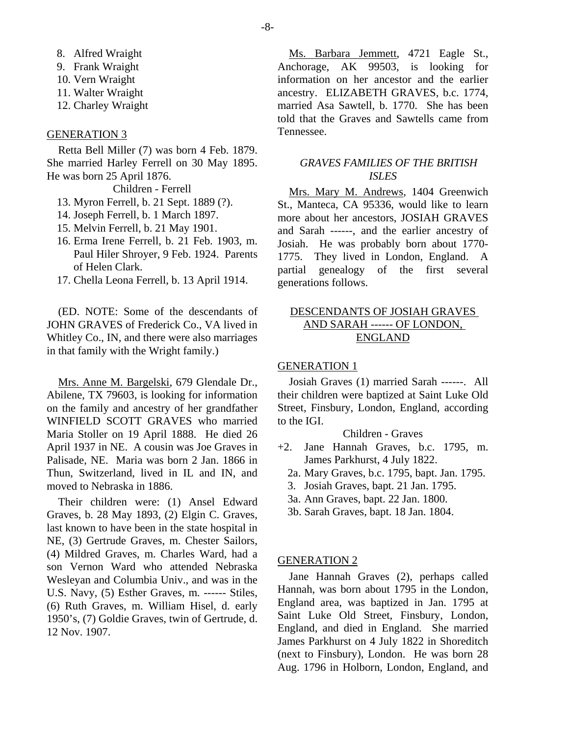- 8. Alfred Wraight
- 9. Frank Wraight
- 10. Vern Wraight
- 11. Walter Wraight
- 12. Charley Wraight

#### GENERATION 3

Retta Bell Miller (7) was born 4 Feb. 1879. She married Harley Ferrell on 30 May 1895. He was born 25 April 1876.

#### Children - Ferrell

- 13. Myron Ferrell, b. 21 Sept. 1889 (?).
- 14. Joseph Ferrell, b. 1 March 1897.
- 15. Melvin Ferrell, b. 21 May 1901.
- 16. Erma Irene Ferrell, b. 21 Feb. 1903, m. Paul Hiler Shroyer, 9 Feb. 1924. Parents of Helen Clark.
- 17. Chella Leona Ferrell, b. 13 April 1914.

(ED. NOTE: Some of the descendants of JOHN GRAVES of Frederick Co., VA lived in Whitley Co., IN, and there were also marriages in that family with the Wright family.)

Mrs. Anne M. Bargelski, 679 Glendale Dr., Abilene, TX 79603, is looking for information on the family and ancestry of her grandfather WINFIELD SCOTT GRAVES who married Maria Stoller on 19 April 1888. He died 26 April 1937 in NE. A cousin was Joe Graves in Palisade, NE. Maria was born 2 Jan. 1866 in Thun, Switzerland, lived in IL and IN, and moved to Nebraska in 1886.

Their children were: (1) Ansel Edward Graves, b. 28 May 1893, (2) Elgin C. Graves, last known to have been in the state hospital in NE, (3) Gertrude Graves, m. Chester Sailors, (4) Mildred Graves, m. Charles Ward, had a son Vernon Ward who attended Nebraska Wesleyan and Columbia Univ., and was in the U.S. Navy, (5) Esther Graves, m. ------ Stiles, (6) Ruth Graves, m. William Hisel, d. early 1950's, (7) Goldie Graves, twin of Gertrude, d. 12 Nov. 1907.

Ms. Barbara Jemmett, 4721 Eagle St., Anchorage, AK 99503, is looking for information on her ancestor and the earlier ancestry. ELIZABETH GRAVES, b.c. 1774, married Asa Sawtell, b. 1770. She has been told that the Graves and Sawtells came from Tennessee.

## *GRAVES FAMILIES OF THE BRITISH ISLES*

Mrs. Mary M. Andrews, 1404 Greenwich St., Manteca, CA 95336, would like to learn more about her ancestors, JOSIAH GRAVES and Sarah ------, and the earlier ancestry of Josiah. He was probably born about 1770- 1775. They lived in London, England. A partial genealogy of the first several generations follows.

# DESCENDANTS OF JOSIAH GRAVES AND SARAH ------ OF LONDON, ENGLAND

#### GENERATION 1

Josiah Graves (1) married Sarah ------. All their children were baptized at Saint Luke Old Street, Finsbury, London, England, according to the IGI.

## Children - Graves

- +2. Jane Hannah Graves, b.c. 1795, m. James Parkhurst, 4 July 1822.
	- 2a. Mary Graves, b.c. 1795, bapt. Jan. 1795.
	- 3. Josiah Graves, bapt. 21 Jan. 1795.
	- 3a. Ann Graves, bapt. 22 Jan. 1800.
	- 3b. Sarah Graves, bapt. 18 Jan. 1804.

#### GENERATION 2

Jane Hannah Graves (2), perhaps called Hannah, was born about 1795 in the London, England area, was baptized in Jan. 1795 at Saint Luke Old Street, Finsbury, London, England, and died in England. She married James Parkhurst on 4 July 1822 in Shoreditch (next to Finsbury), London. He was born 28 Aug. 1796 in Holborn, London, England, and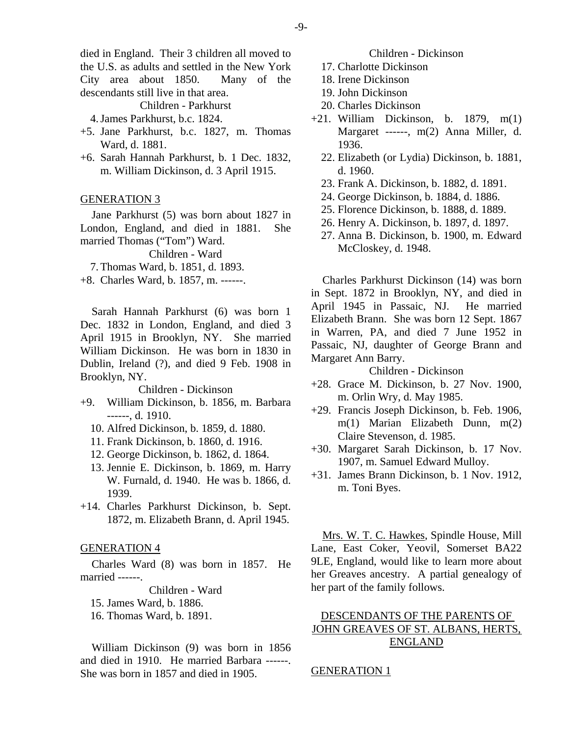died in England. Their 3 children all moved to the U.S. as adults and settled in the New York City area about 1850. Many of the descendants still live in that area.

Children - Parkhurst

4. James Parkhurst, b.c. 1824.

- +5. Jane Parkhurst, b.c. 1827, m. Thomas Ward, d. 1881.
- +6. Sarah Hannah Parkhurst, b. 1 Dec. 1832, m. William Dickinson, d. 3 April 1915.

#### GENERATION 3

Jane Parkhurst (5) was born about 1827 in London, England, and died in 1881. She married Thomas ("Tom") Ward.

Children - Ward

7. Thomas Ward, b. 1851, d. 1893.

+8. Charles Ward, b. 1857, m. ------.

Sarah Hannah Parkhurst (6) was born 1 Dec. 1832 in London, England, and died 3 April 1915 in Brooklyn, NY. She married William Dickinson. He was born in 1830 in Dublin, Ireland (?), and died 9 Feb. 1908 in Brooklyn, NY.

#### Children - Dickinson

- +9. William Dickinson, b. 1856, m. Barbara ------, d. 1910.
	- 10. Alfred Dickinson, b. 1859, d. 1880.
	- 11. Frank Dickinson, b. 1860, d. 1916.
	- 12. George Dickinson, b. 1862, d. 1864.
	- 13. Jennie E. Dickinson, b. 1869, m. Harry W. Furnald, d. 1940. He was b. 1866, d. 1939.
- +14. Charles Parkhurst Dickinson, b. Sept. 1872, m. Elizabeth Brann, d. April 1945.

#### GENERATION 4

Charles Ward (8) was born in 1857. He married ------.

Children - Ward

- 15. James Ward, b. 1886.
- 16. Thomas Ward, b. 1891.

William Dickinson (9) was born in 1856 and died in 1910. He married Barbara ------. She was born in 1857 and died in 1905.

#### Children - Dickinson

- 17. Charlotte Dickinson
- 18. Irene Dickinson
- 19. John Dickinson
- 20. Charles Dickinson
- +21. William Dickinson, b. 1879, m(1) Margaret ------, m(2) Anna Miller, d. 1936.
	- 22. Elizabeth (or Lydia) Dickinson, b. 1881, d. 1960.
	- 23. Frank A. Dickinson, b. 1882, d. 1891.
	- 24. George Dickinson, b. 1884, d. 1886.
	- 25. Florence Dickinson, b. 1888, d. 1889.
	- 26. Henry A. Dickinson, b. 1897, d. 1897.
	- 27. Anna B. Dickinson, b. 1900, m. Edward McCloskey, d. 1948.

Charles Parkhurst Dickinson (14) was born in Sept. 1872 in Brooklyn, NY, and died in April 1945 in Passaic, NJ. He married Elizabeth Brann. She was born 12 Sept. 1867 in Warren, PA, and died 7 June 1952 in Passaic, NJ, daughter of George Brann and Margaret Ann Barry.

Children - Dickinson

- +28. Grace M. Dickinson, b. 27 Nov. 1900, m. Orlin Wry, d. May 1985.
- +29. Francis Joseph Dickinson, b. Feb. 1906, m(1) Marian Elizabeth Dunn, m(2) Claire Stevenson, d. 1985.
- +30. Margaret Sarah Dickinson, b. 17 Nov. 1907, m. Samuel Edward Mulloy.
- +31. James Brann Dickinson, b. 1 Nov. 1912, m. Toni Byes.

Mrs. W. T. C. Hawkes, Spindle House, Mill Lane, East Coker, Yeovil, Somerset BA22 9LE, England, would like to learn more about her Greaves ancestry. A partial genealogy of her part of the family follows.

# DESCENDANTS OF THE PARENTS OF JOHN GREAVES OF ST. ALBANS, HERTS, ENGLAND

## GENERATION 1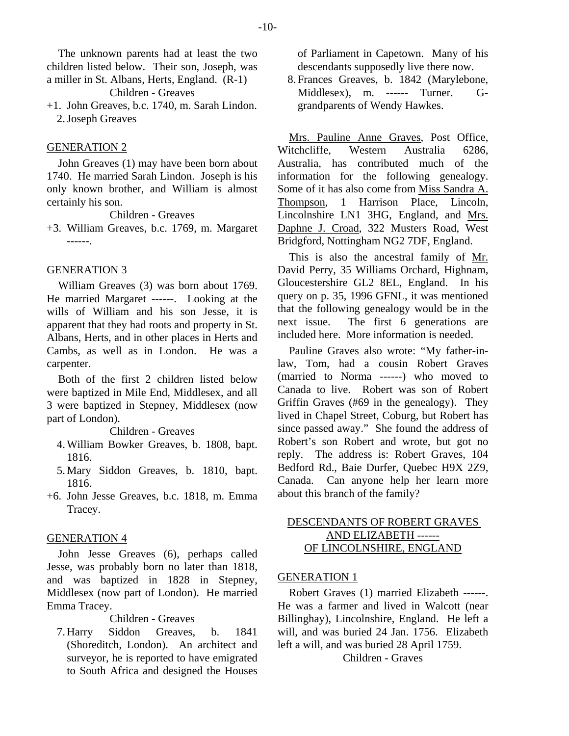The unknown parents had at least the two children listed below. Their son, Joseph, was a miller in St. Albans, Herts, England. (R-1)

Children - Greaves

+1. John Greaves, b.c. 1740, m. Sarah Lindon. 2. Joseph Greaves

## GENERATION 2

John Greaves (1) may have been born about 1740. He married Sarah Lindon. Joseph is his only known brother, and William is almost certainly his son.

Children - Greaves

+3. William Greaves, b.c. 1769, m. Margaret ------.

## GENERATION 3

William Greaves (3) was born about 1769. He married Margaret ------. Looking at the wills of William and his son Jesse, it is apparent that they had roots and property in St. Albans, Herts, and in other places in Herts and Cambs, as well as in London. He was a carpenter.

Both of the first 2 children listed below were baptized in Mile End, Middlesex, and all 3 were baptized in Stepney, Middlesex (now part of London).

Children - Greaves

- 4. William Bowker Greaves, b. 1808, bapt. 1816.
- 5. Mary Siddon Greaves, b. 1810, bapt. 1816.
- +6. John Jesse Greaves, b.c. 1818, m. Emma Tracey.

## GENERATION 4

John Jesse Greaves (6), perhaps called Jesse, was probably born no later than 1818, and was baptized in 1828 in Stepney, Middlesex (now part of London). He married Emma Tracey.

Children - Greaves

 7. Harry Siddon Greaves, b. 1841 (Shoreditch, London). An architect and surveyor, he is reported to have emigrated to South Africa and designed the Houses of Parliament in Capetown. Many of his descendants supposedly live there now.

 8. Frances Greaves, b. 1842 (Marylebone, Middlesex), m. ------ Turner. Ggrandparents of Wendy Hawkes.

Mrs. Pauline Anne Graves, Post Office, Witchcliffe, Western Australia 6286, Australia, has contributed much of the information for the following genealogy. Some of it has also come from Miss Sandra A. Thompson, 1 Harrison Place, Lincoln, Lincolnshire LN1 3HG, England, and Mrs. Daphne J. Croad, 322 Musters Road, West Bridgford, Nottingham NG2 7DF, England.

This is also the ancestral family of Mr. David Perry, 35 Williams Orchard, Highnam, Gloucestershire GL2 8EL, England. In his query on p. 35, 1996 GFNL, it was mentioned that the following genealogy would be in the next issue. The first 6 generations are included here. More information is needed.

Pauline Graves also wrote: "My father-inlaw, Tom, had a cousin Robert Graves (married to Norma ------) who moved to Canada to live. Robert was son of Robert Griffin Graves (#69 in the genealogy). They lived in Chapel Street, Coburg, but Robert has since passed away." She found the address of Robert's son Robert and wrote, but got no reply. The address is: Robert Graves, 104 Bedford Rd., Baie Durfer, Quebec H9X 2Z9, Canada. Can anyone help her learn more about this branch of the family?

# DESCENDANTS OF ROBERT GRAVES AND ELIZABETH ------ OF LINCOLNSHIRE, ENGLAND

## GENERATION 1

Robert Graves (1) married Elizabeth ------. He was a farmer and lived in Walcott (near Billinghay), Lincolnshire, England. He left a will, and was buried 24 Jan. 1756. Elizabeth left a will, and was buried 28 April 1759.

Children - Graves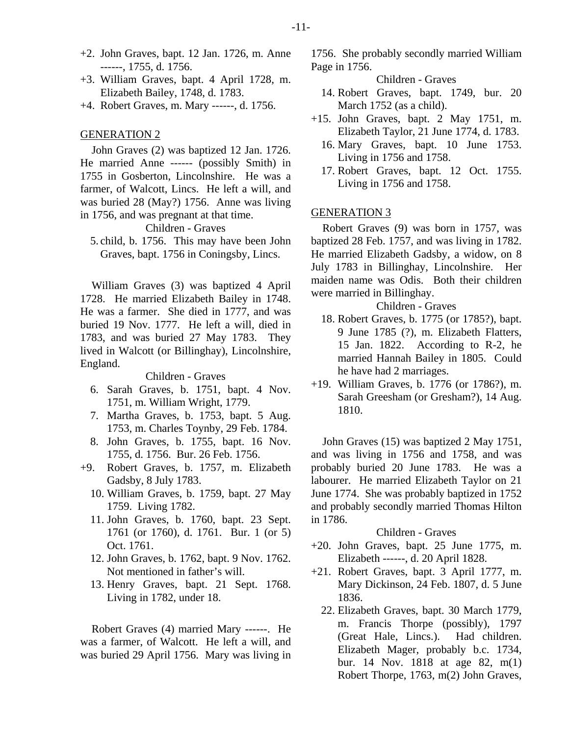- +2. John Graves, bapt. 12 Jan. 1726, m. Anne ------, 1755, d. 1756.
- +3. William Graves, bapt. 4 April 1728, m. Elizabeth Bailey, 1748, d. 1783.
- +4. Robert Graves, m. Mary ------, d. 1756.

#### GENERATION 2

John Graves (2) was baptized 12 Jan. 1726. He married Anne ------ (possibly Smith) in 1755 in Gosberton, Lincolnshire. He was a farmer, of Walcott, Lincs. He left a will, and was buried 28 (May?) 1756. Anne was living in 1756, and was pregnant at that time.

## Children - Graves

 5. child, b. 1756. This may have been John Graves, bapt. 1756 in Coningsby, Lincs.

William Graves (3) was baptized 4 April 1728. He married Elizabeth Bailey in 1748. He was a farmer. She died in 1777, and was buried 19 Nov. 1777. He left a will, died in 1783, and was buried 27 May 1783. They lived in Walcott (or Billinghay), Lincolnshire, England.

Children - Graves

- 6. Sarah Graves, b. 1751, bapt. 4 Nov. 1751, m. William Wright, 1779.
- 7. Martha Graves, b. 1753, bapt. 5 Aug. 1753, m. Charles Toynby, 29 Feb. 1784.
- 8. John Graves, b. 1755, bapt. 16 Nov. 1755, d. 1756. Bur. 26 Feb. 1756.
- +9. Robert Graves, b. 1757, m. Elizabeth Gadsby, 8 July 1783.
	- 10. William Graves, b. 1759, bapt. 27 May 1759. Living 1782.
	- 11. John Graves, b. 1760, bapt. 23 Sept. 1761 (or 1760), d. 1761. Bur. 1 (or 5) Oct. 1761.
	- 12. John Graves, b. 1762, bapt. 9 Nov. 1762. Not mentioned in father's will.
	- 13. Henry Graves, bapt. 21 Sept. 1768. Living in 1782, under 18.

Robert Graves (4) married Mary ------. He was a farmer, of Walcott. He left a will, and was buried 29 April 1756. Mary was living in

1756. She probably secondly married William Page in 1756.

Children - Graves

- 14. Robert Graves, bapt. 1749, bur. 20 March 1752 (as a child).
- +15. John Graves, bapt. 2 May 1751, m. Elizabeth Taylor, 21 June 1774, d. 1783.
	- 16. Mary Graves, bapt. 10 June 1753. Living in 1756 and 1758.
	- 17. Robert Graves, bapt. 12 Oct. 1755. Living in 1756 and 1758.

## GENERATION 3

Robert Graves (9) was born in 1757, was baptized 28 Feb. 1757, and was living in 1782. He married Elizabeth Gadsby, a widow, on 8 July 1783 in Billinghay, Lincolnshire. Her maiden name was Odis. Both their children were married in Billinghay.

Children - Graves

- 18. Robert Graves, b. 1775 (or 1785?), bapt. 9 June 1785 (?), m. Elizabeth Flatters, 15 Jan. 1822. According to R-2, he married Hannah Bailey in 1805. Could he have had 2 marriages.
- +19. William Graves, b. 1776 (or 1786?), m. Sarah Greesham (or Gresham?), 14 Aug. 1810.

John Graves (15) was baptized 2 May 1751, and was living in 1756 and 1758, and was probably buried 20 June 1783. He was a labourer. He married Elizabeth Taylor on 21 June 1774. She was probably baptized in 1752 and probably secondly married Thomas Hilton in 1786.

#### Children - Graves

- +20. John Graves, bapt. 25 June 1775, m. Elizabeth ------, d. 20 April 1828.
- +21. Robert Graves, bapt. 3 April 1777, m. Mary Dickinson, 24 Feb. 1807, d. 5 June 1836.
	- 22. Elizabeth Graves, bapt. 30 March 1779, m. Francis Thorpe (possibly), 1797 (Great Hale, Lincs.). Had children. Elizabeth Mager, probably b.c. 1734, bur. 14 Nov. 1818 at age 82, m(1) Robert Thorpe, 1763, m(2) John Graves,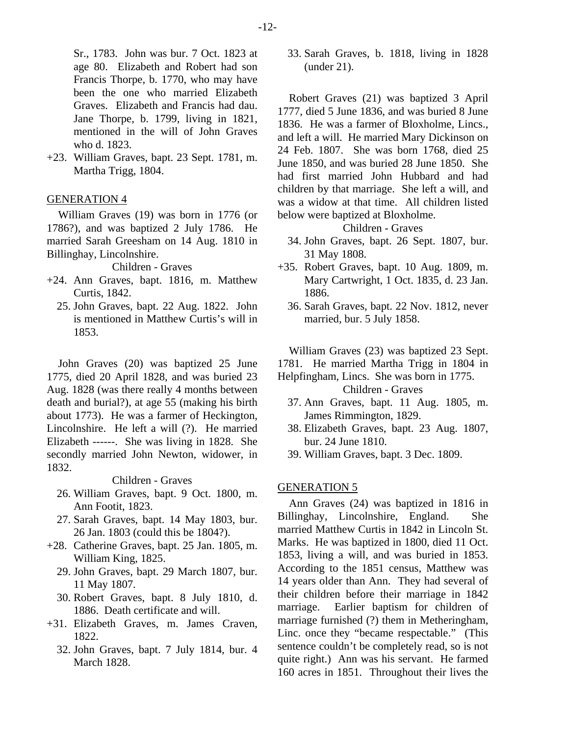Sr., 1783. John was bur. 7 Oct. 1823 at age 80. Elizabeth and Robert had son Francis Thorpe, b. 1770, who may have been the one who married Elizabeth Graves. Elizabeth and Francis had dau. Jane Thorpe, b. 1799, living in 1821, mentioned in the will of John Graves who d. 1823.

+23. William Graves, bapt. 23 Sept. 1781, m. Martha Trigg, 1804.

## GENERATION 4

William Graves (19) was born in 1776 (or 1786?), and was baptized 2 July 1786. He married Sarah Greesham on 14 Aug. 1810 in Billinghay, Lincolnshire.

Children - Graves

- +24. Ann Graves, bapt. 1816, m. Matthew Curtis, 1842.
	- 25. John Graves, bapt. 22 Aug. 1822. John is mentioned in Matthew Curtis's will in 1853.

John Graves (20) was baptized 25 June 1775, died 20 April 1828, and was buried 23 Aug. 1828 (was there really 4 months between death and burial?), at age 55 (making his birth about 1773). He was a farmer of Heckington, Lincolnshire. He left a will (?). He married Elizabeth ------. She was living in 1828. She secondly married John Newton, widower, in 1832.

Children - Graves

- 26. William Graves, bapt. 9 Oct. 1800, m. Ann Footit, 1823.
- 27. Sarah Graves, bapt. 14 May 1803, bur. 26 Jan. 1803 (could this be 1804?).
- +28. Catherine Graves, bapt. 25 Jan. 1805, m. William King, 1825.
	- 29. John Graves, bapt. 29 March 1807, bur. 11 May 1807.
	- 30. Robert Graves, bapt. 8 July 1810, d. 1886. Death certificate and will.
- +31. Elizabeth Graves, m. James Craven, 1822.
	- 32. John Graves, bapt. 7 July 1814, bur. 4 March 1828.

 33. Sarah Graves, b. 1818, living in 1828 (under 21).

Robert Graves (21) was baptized 3 April 1777, died 5 June 1836, and was buried 8 June 1836. He was a farmer of Bloxholme, Lincs., and left a will. He married Mary Dickinson on 24 Feb. 1807. She was born 1768, died 25 June 1850, and was buried 28 June 1850. She had first married John Hubbard and had children by that marriage. She left a will, and was a widow at that time. All children listed below were baptized at Bloxholme.

Children - Graves

- 34. John Graves, bapt. 26 Sept. 1807, bur. 31 May 1808.
- +35. Robert Graves, bapt. 10 Aug. 1809, m. Mary Cartwright, 1 Oct. 1835, d. 23 Jan. 1886.
	- 36. Sarah Graves, bapt. 22 Nov. 1812, never married, bur. 5 July 1858.

William Graves (23) was baptized 23 Sept.

1781. He married Martha Trigg in 1804 in

- Helpfingham, Lincs. She was born in 1775. Children - Graves
	- 37. Ann Graves, bapt. 11 Aug. 1805, m. James Rimmington, 1829.
	- 38. Elizabeth Graves, bapt. 23 Aug. 1807, bur. 24 June 1810.
	- 39. William Graves, bapt. 3 Dec. 1809.

## GENERATION 5

Ann Graves (24) was baptized in 1816 in Billinghay, Lincolnshire, England. She married Matthew Curtis in 1842 in Lincoln St. Marks. He was baptized in 1800, died 11 Oct. 1853, living a will, and was buried in 1853. According to the 1851 census, Matthew was 14 years older than Ann. They had several of their children before their marriage in 1842 marriage. Earlier baptism for children of marriage furnished (?) them in Metheringham, Linc. once they "became respectable." (This sentence couldn't be completely read, so is not quite right.) Ann was his servant. He farmed 160 acres in 1851. Throughout their lives the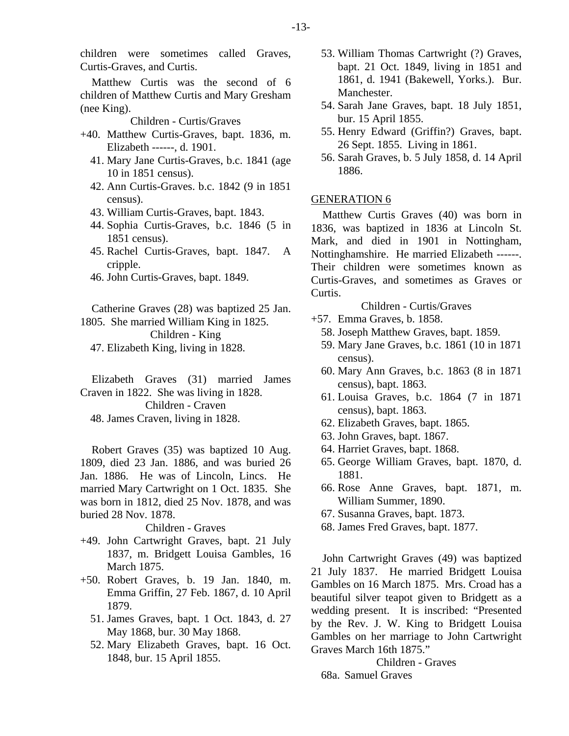Matthew Curtis was the second of 6 children of Matthew Curtis and Mary Gresham (nee King).

#### Children - Curtis/Graves

- +40. Matthew Curtis-Graves, bapt. 1836, m. Elizabeth ------, d. 1901.
	- 41. Mary Jane Curtis-Graves, b.c. 1841 (age 10 in 1851 census).
	- 42. Ann Curtis-Graves. b.c. 1842 (9 in 1851 census).
	- 43. William Curtis-Graves, bapt. 1843.
	- 44. Sophia Curtis-Graves, b.c. 1846 (5 in 1851 census).
	- 45. Rachel Curtis-Graves, bapt. 1847. A cripple.
	- 46. John Curtis-Graves, bapt. 1849.

Catherine Graves (28) was baptized 25 Jan. 1805. She married William King in 1825. Children - King

47. Elizabeth King, living in 1828.

Elizabeth Graves (31) married James Craven in 1822. She was living in 1828. Children - Craven 48. James Craven, living in 1828.

Robert Graves (35) was baptized 10 Aug. 1809, died 23 Jan. 1886, and was buried 26 Jan. 1886. He was of Lincoln, Lincs. He married Mary Cartwright on 1 Oct. 1835. She was born in 1812, died 25 Nov. 1878, and was buried 28 Nov. 1878.

#### Children - Graves

- +49. John Cartwright Graves, bapt. 21 July 1837, m. Bridgett Louisa Gambles, 16 March 1875.
- +50. Robert Graves, b. 19 Jan. 1840, m. Emma Griffin, 27 Feb. 1867, d. 10 April 1879.
	- 51. James Graves, bapt. 1 Oct. 1843, d. 27 May 1868, bur. 30 May 1868.
	- 52. Mary Elizabeth Graves, bapt. 16 Oct. 1848, bur. 15 April 1855.
- 53. William Thomas Cartwright (?) Graves, bapt. 21 Oct. 1849, living in 1851 and 1861, d. 1941 (Bakewell, Yorks.). Bur. Manchester.
- 54. Sarah Jane Graves, bapt. 18 July 1851, bur. 15 April 1855.
- 55. Henry Edward (Griffin?) Graves, bapt. 26 Sept. 1855. Living in 1861.
- 56. Sarah Graves, b. 5 July 1858, d. 14 April 1886.

## GENERATION 6

Matthew Curtis Graves (40) was born in 1836, was baptized in 1836 at Lincoln St. Mark, and died in 1901 in Nottingham, Nottinghamshire. He married Elizabeth ------. Their children were sometimes known as Curtis-Graves, and sometimes as Graves or Curtis.

Children - Curtis/Graves

- +57. Emma Graves, b. 1858.
	- 58. Joseph Matthew Graves, bapt. 1859.
	- 59. Mary Jane Graves, b.c. 1861 (10 in 1871 census).
	- 60. Mary Ann Graves, b.c. 1863 (8 in 1871 census), bapt. 1863.
	- 61. Louisa Graves, b.c. 1864 (7 in 1871 census), bapt. 1863.
	- 62. Elizabeth Graves, bapt. 1865.
	- 63. John Graves, bapt. 1867.
	- 64. Harriet Graves, bapt. 1868.
	- 65. George William Graves, bapt. 1870, d. 1881.
	- 66. Rose Anne Graves, bapt. 1871, m. William Summer, 1890.
	- 67. Susanna Graves, bapt. 1873.
	- 68. James Fred Graves, bapt. 1877.

John Cartwright Graves (49) was baptized 21 July 1837. He married Bridgett Louisa Gambles on 16 March 1875. Mrs. Croad has a beautiful silver teapot given to Bridgett as a wedding present. It is inscribed: "Presented by the Rev. J. W. King to Bridgett Louisa Gambles on her marriage to John Cartwright Graves March 16th 1875."

Children - Graves 68a. Samuel Graves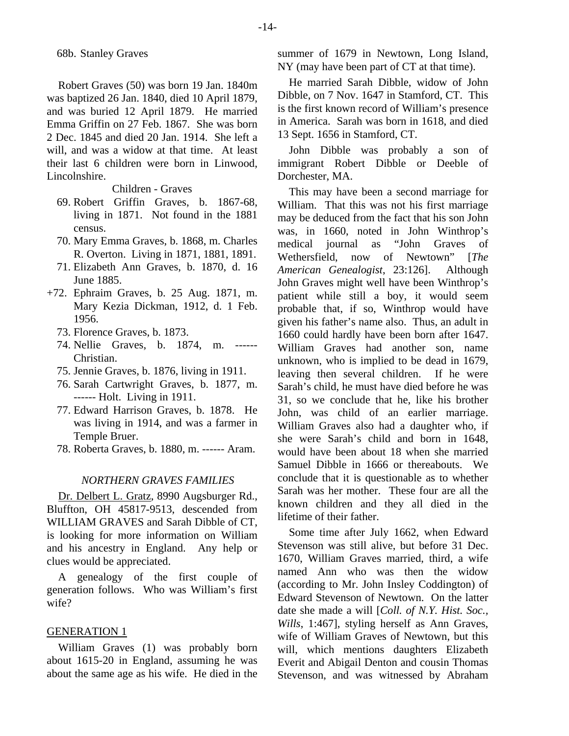Robert Graves (50) was born 19 Jan. 1840m was baptized 26 Jan. 1840, died 10 April 1879, and was buried 12 April 1879. He married Emma Griffin on 27 Feb. 1867. She was born 2 Dec. 1845 and died 20 Jan. 1914. She left a will, and was a widow at that time. At least their last 6 children were born in Linwood, Lincolnshire.

#### Children - Graves

- 69. Robert Griffin Graves, b. 1867-68, living in 1871. Not found in the 1881 census.
- 70. Mary Emma Graves, b. 1868, m. Charles R. Overton. Living in 1871, 1881, 1891.
- 71. Elizabeth Ann Graves, b. 1870, d. 16 June 1885.
- +72. Ephraim Graves, b. 25 Aug. 1871, m. Mary Kezia Dickman, 1912, d. 1 Feb. 1956.
	- 73. Florence Graves, b. 1873.
	- 74. Nellie Graves, b. 1874, m. ------ Christian.
	- 75. Jennie Graves, b. 1876, living in 1911.
	- 76. Sarah Cartwright Graves, b. 1877, m. ------ Holt. Living in 1911.
	- 77. Edward Harrison Graves, b. 1878. He was living in 1914, and was a farmer in Temple Bruer.
	- 78. Roberta Graves, b. 1880, m. ------ Aram.

#### *NORTHERN GRAVES FAMILIES*

Dr. Delbert L. Gratz, 8990 Augsburger Rd., Bluffton, OH 45817-9513, descended from WILLIAM GRAVES and Sarah Dibble of CT, is looking for more information on William and his ancestry in England. Any help or clues would be appreciated.

A genealogy of the first couple of generation follows. Who was William's first wife?

## GENERATION 1

William Graves (1) was probably born about 1615-20 in England, assuming he was about the same age as his wife. He died in the summer of 1679 in Newtown, Long Island, NY (may have been part of CT at that time).

He married Sarah Dibble, widow of John Dibble, on 7 Nov. 1647 in Stamford, CT. This is the first known record of William's presence in America. Sarah was born in 1618, and died 13 Sept. 1656 in Stamford, CT.

John Dibble was probably a son of immigrant Robert Dibble or Deeble of Dorchester, MA.

This may have been a second marriage for William. That this was not his first marriage may be deduced from the fact that his son John was, in 1660, noted in John Winthrop's medical journal as "John Graves of Wethersfield, now of Newtown" [*The American Genealogist*, 23:126]. Although John Graves might well have been Winthrop's patient while still a boy, it would seem probable that, if so, Winthrop would have given his father's name also. Thus, an adult in 1660 could hardly have been born after 1647. William Graves had another son, name unknown, who is implied to be dead in 1679, leaving then several children. If he were Sarah's child, he must have died before he was 31, so we conclude that he, like his brother John, was child of an earlier marriage. William Graves also had a daughter who, if she were Sarah's child and born in 1648, would have been about 18 when she married Samuel Dibble in 1666 or thereabouts. We conclude that it is questionable as to whether Sarah was her mother. These four are all the known children and they all died in the lifetime of their father.

Some time after July 1662, when Edward Stevenson was still alive, but before 31 Dec. 1670, William Graves married, third, a wife named Ann who was then the widow (according to Mr. John Insley Coddington) of Edward Stevenson of Newtown. On the latter date she made a will [*Coll. of N.Y. Hist. Soc., Wills*, 1:467], styling herself as Ann Graves, wife of William Graves of Newtown, but this will, which mentions daughters Elizabeth Everit and Abigail Denton and cousin Thomas Stevenson, and was witnessed by Abraham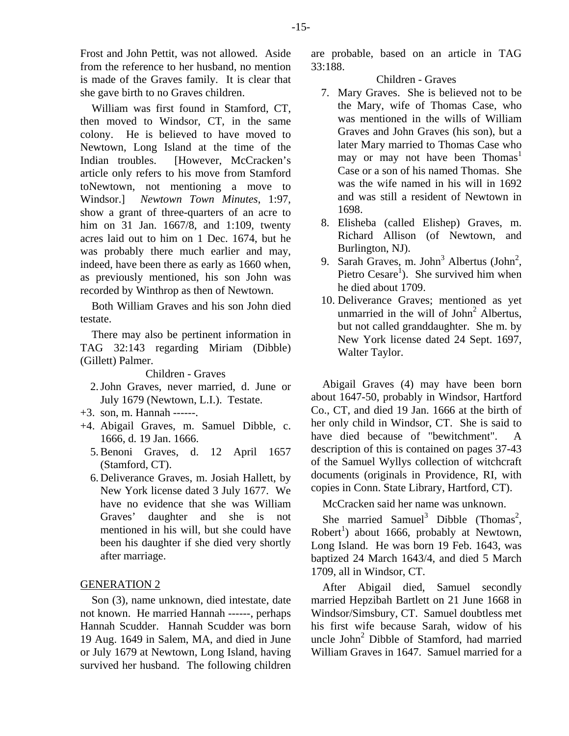she gave birth to no Graves children.

William was first found in Stamford, CT, then moved to Windsor, CT, in the same colony. He is believed to have moved to Newtown, Long Island at the time of the Indian troubles. [However, McCracken's article only refers to his move from Stamford toNewtown, not mentioning a move to Windsor.] *Newtown Town Minutes*, 1:97, show a grant of three-quarters of an acre to him on 31 Jan. 1667/8, and 1:109, twenty acres laid out to him on 1 Dec. 1674, but he was probably there much earlier and may, indeed, have been there as early as 1660 when, as previously mentioned, his son John was recorded by Winthrop as then of Newtown.

Both William Graves and his son John died testate.

There may also be pertinent information in TAG 32:143 regarding Miriam (Dibble) (Gillett) Palmer.

Children - Graves

- 2. John Graves, never married, d. June or July 1679 (Newtown, L.I.). Testate.
- +3. son, m. Hannah ------.
- +4. Abigail Graves, m. Samuel Dibble, c. 1666, d. 19 Jan. 1666.
	- 5. Benoni Graves, d. 12 April 1657 (Stamford, CT).
	- 6. Deliverance Graves, m. Josiah Hallett, by New York license dated 3 July 1677. We have no evidence that she was William Graves' daughter and she is not mentioned in his will, but she could have been his daughter if she died very shortly after marriage.

# GENERATION 2

Son (3), name unknown, died intestate, date not known. He married Hannah ------, perhaps Hannah Scudder. Hannah Scudder was born 19 Aug. 1649 in Salem, MA, and died in June or July 1679 at Newtown, Long Island, having survived her husband. The following children are probable, based on an article in TAG 33:188.

#### Children - Graves

- 7. Mary Graves. She is believed not to be the Mary, wife of Thomas Case, who was mentioned in the wills of William Graves and John Graves (his son), but a later Mary married to Thomas Case who may or may not have been Thomas<sup>1</sup> Case or a son of his named Thomas. She was the wife named in his will in 1692 and was still a resident of Newtown in 1698.
- 8. Elisheba (called Elishep) Graves, m. Richard Allison (of Newtown, and Burlington, NJ).
- 9. Sarah Graves, m. John<sup>3</sup> Albertus (John<sup>2</sup>, Pietro Cesare<sup>1</sup>). She survived him when he died about 1709.
	- 10. Deliverance Graves; mentioned as yet unmarried in the will of  $John<sup>2</sup>$  Albertus, but not called granddaughter. She m. by New York license dated 24 Sept. 1697, Walter Taylor.

Abigail Graves (4) may have been born about 1647-50, probably in Windsor, Hartford Co., CT, and died 19 Jan. 1666 at the birth of her only child in Windsor, CT. She is said to have died because of "bewitchment". A description of this is contained on pages 37-43 of the Samuel Wyllys collection of witchcraft documents (originals in Providence, RI, with copies in Conn. State Library, Hartford, CT).

McCracken said her name was unknown.

She married Samuel<sup>3</sup> Dibble (Thomas<sup>2</sup>, Robert<sup>1</sup>) about 1666, probably at Newtown, Long Island. He was born 19 Feb. 1643, was baptized 24 March 1643/4, and died 5 March 1709, all in Windsor, CT.

After Abigail died, Samuel secondly married Hepzibah Bartlett on 21 June 1668 in Windsor/Simsbury, CT. Samuel doubtless met his first wife because Sarah, widow of his uncle John<sup>2</sup> Dibble of Stamford, had married William Graves in 1647. Samuel married for a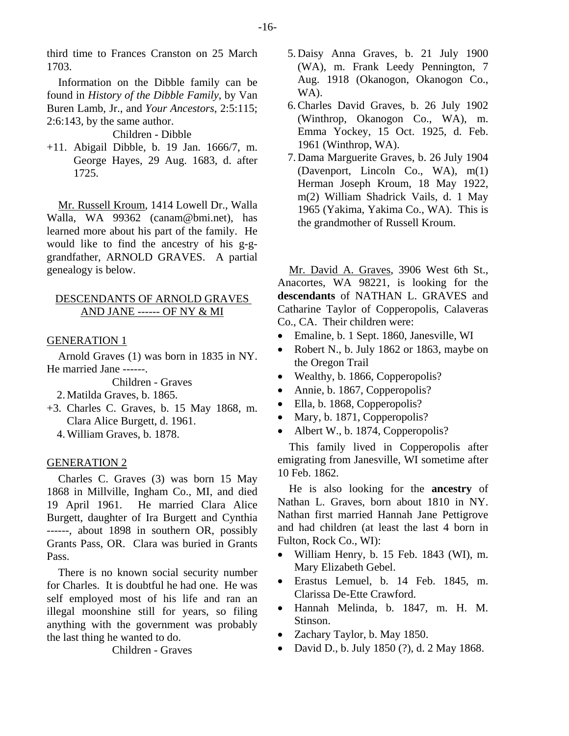third time to Frances Cranston on 25 March 1703.

Information on the Dibble family can be found in *History of the Dibble Family*, by Van Buren Lamb, Jr., and *Your Ancestors*, 2:5:115; 2:6:143, by the same author.

Children - Dibble

+11. Abigail Dibble, b. 19 Jan. 1666/7, m. George Hayes, 29 Aug. 1683, d. after 1725.

Mr. Russell Kroum, 1414 Lowell Dr., Walla Walla, WA 99362 (canam@bmi.net), has learned more about his part of the family. He would like to find the ancestry of his g-ggrandfather, ARNOLD GRAVES. A partial genealogy is below.

# DESCENDANTS OF ARNOLD GRAVES AND JANE ------ OF NY & MI

#### GENERATION 1

Arnold Graves (1) was born in 1835 in NY. He married Jane ------.

Children - Graves

2. Matilda Graves, b. 1865.

- +3. Charles C. Graves, b. 15 May 1868, m. Clara Alice Burgett, d. 1961.
	- 4. William Graves, b. 1878.

## GENERATION 2

Charles C. Graves (3) was born 15 May 1868 in Millville, Ingham Co., MI, and died 19 April 1961. He married Clara Alice Burgett, daughter of Ira Burgett and Cynthia ------, about 1898 in southern OR, possibly Grants Pass, OR. Clara was buried in Grants Pass.

There is no known social security number for Charles. It is doubtful he had one. He was self employed most of his life and ran an illegal moonshine still for years, so filing anything with the government was probably the last thing he wanted to do.

Children - Graves

- 5. Daisy Anna Graves, b. 21 July 1900 (WA), m. Frank Leedy Pennington, 7 Aug. 1918 (Okanogon, Okanogon Co., WA).
- 6. Charles David Graves, b. 26 July 1902 (Winthrop, Okanogon Co., WA), m. Emma Yockey, 15 Oct. 1925, d. Feb. 1961 (Winthrop, WA).
- 7. Dama Marguerite Graves, b. 26 July 1904 (Davenport, Lincoln Co., WA), m(1) Herman Joseph Kroum, 18 May 1922, m(2) William Shadrick Vails, d. 1 May 1965 (Yakima, Yakima Co., WA). This is the grandmother of Russell Kroum.

Mr. David A. Graves, 3906 West 6th St., Anacortes, WA 98221, is looking for the **descendants** of NATHAN L. GRAVES and Catharine Taylor of Copperopolis, Calaveras Co., CA. Their children were:

- Emaline, b. 1 Sept. 1860, Janesville, WI
- Robert N., b. July 1862 or 1863, maybe on the Oregon Trail
- Wealthy, b. 1866, Copperopolis?
- Annie, b. 1867, Copperopolis?
- Ella, b. 1868, Copperopolis?
- Mary, b. 1871, Copperopolis?
- Albert W., b. 1874, Copperopolis?

This family lived in Copperopolis after emigrating from Janesville, WI sometime after 10 Feb. 1862.

He is also looking for the **ancestry** of Nathan L. Graves, born about 1810 in NY. Nathan first married Hannah Jane Pettigrove and had children (at least the last 4 born in Fulton, Rock Co., WI):

- William Henry, b. 15 Feb. 1843 (WI), m. Mary Elizabeth Gebel.
- Erastus Lemuel, b. 14 Feb. 1845, m. Clarissa De-Ette Crawford.
- Hannah Melinda, b. 1847, m. H. M. Stinson.
- Zachary Taylor, b. May 1850.
- David D., b. July 1850 (?), d. 2 May 1868.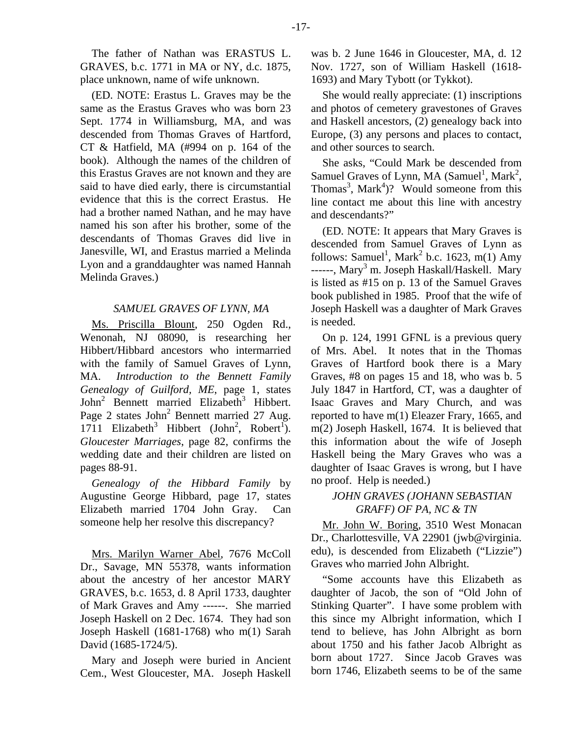The father of Nathan was ERASTUS L. GRAVES, b.c. 1771 in MA or NY, d.c. 1875, place unknown, name of wife unknown.

(ED. NOTE: Erastus L. Graves may be the same as the Erastus Graves who was born 23 Sept. 1774 in Williamsburg, MA, and was descended from Thomas Graves of Hartford, CT & Hatfield, MA (#994 on p. 164 of the book). Although the names of the children of this Erastus Graves are not known and they are said to have died early, there is circumstantial evidence that this is the correct Erastus. He had a brother named Nathan, and he may have named his son after his brother, some of the descendants of Thomas Graves did live in Janesville, WI, and Erastus married a Melinda Lyon and a granddaughter was named Hannah Melinda Graves.)

#### *SAMUEL GRAVES OF LYNN, MA*

Ms. Priscilla Blount, 250 Ogden Rd., Wenonah, NJ 08090, is researching her Hibbert/Hibbard ancestors who intermarried with the family of Samuel Graves of Lynn, MA. *Introduction to the Bennett Family Genealogy of Guilford, ME*, page 1, states John<sup>2</sup> Bennett married Elizabeth<sup>3</sup> Hibbert. Page 2 states John<sup>2</sup> Bennett married 27 Aug. 1711 Elizabeth<sup>3</sup> Hibbert (John<sup>2</sup>, Robert<sup>1</sup>). *Gloucester Marriages*, page 82, confirms the wedding date and their children are listed on pages 88-91.

*Genealogy of the Hibbard Family* by Augustine George Hibbard, page 17, states Elizabeth married 1704 John Gray. Can someone help her resolve this discrepancy?

Mrs. Marilyn Warner Abel, 7676 McColl Dr., Savage, MN 55378, wants information about the ancestry of her ancestor MARY GRAVES, b.c. 1653, d. 8 April 1733, daughter of Mark Graves and Amy ------. She married Joseph Haskell on 2 Dec. 1674. They had son Joseph Haskell (1681-1768) who m(1) Sarah David (1685-1724/5).

Mary and Joseph were buried in Ancient Cem., West Gloucester, MA. Joseph Haskell

was b. 2 June 1646 in Gloucester, MA, d. 12 Nov. 1727, son of William Haskell (1618- 1693) and Mary Tybott (or Tykkot).

She would really appreciate: (1) inscriptions and photos of cemetery gravestones of Graves and Haskell ancestors, (2) genealogy back into Europe, (3) any persons and places to contact, and other sources to search.

She asks, "Could Mark be descended from Samuel Graves of Lynn, MA  $(Samuel<sup>1</sup>, Mark<sup>2</sup>,$ Thomas<sup>3</sup>, Mark<sup>4</sup>)? Would someone from this line contact me about this line with ancestry and descendants?"

(ED. NOTE: It appears that Mary Graves is descended from Samuel Graves of Lynn as follows: Samuel<sup>1</sup>, Mark<sup>2</sup> b.c. 1623, m(1) Amy ------, Mary<sup>3</sup> m. Joseph Haskall/Haskell. Mary is listed as #15 on p. 13 of the Samuel Graves book published in 1985. Proof that the wife of Joseph Haskell was a daughter of Mark Graves is needed.

On p. 124, 1991 GFNL is a previous query of Mrs. Abel. It notes that in the Thomas Graves of Hartford book there is a Mary Graves, #8 on pages 15 and 18, who was b. 5 July 1847 in Hartford, CT, was a daughter of Isaac Graves and Mary Church, and was reported to have m(1) Eleazer Frary, 1665, and m(2) Joseph Haskell, 1674. It is believed that this information about the wife of Joseph Haskell being the Mary Graves who was a daughter of Isaac Graves is wrong, but I have no proof. Help is needed.)

# *JOHN GRAVES (JOHANN SEBASTIAN GRAFF) OF PA, NC & TN*

Mr. John W. Boring, 3510 West Monacan Dr., Charlottesville, VA 22901 (jwb@virginia. edu), is descended from Elizabeth ("Lizzie") Graves who married John Albright.

"Some accounts have this Elizabeth as daughter of Jacob, the son of "Old John of Stinking Quarter". I have some problem with this since my Albright information, which I tend to believe, has John Albright as born about 1750 and his father Jacob Albright as born about 1727. Since Jacob Graves was born 1746, Elizabeth seems to be of the same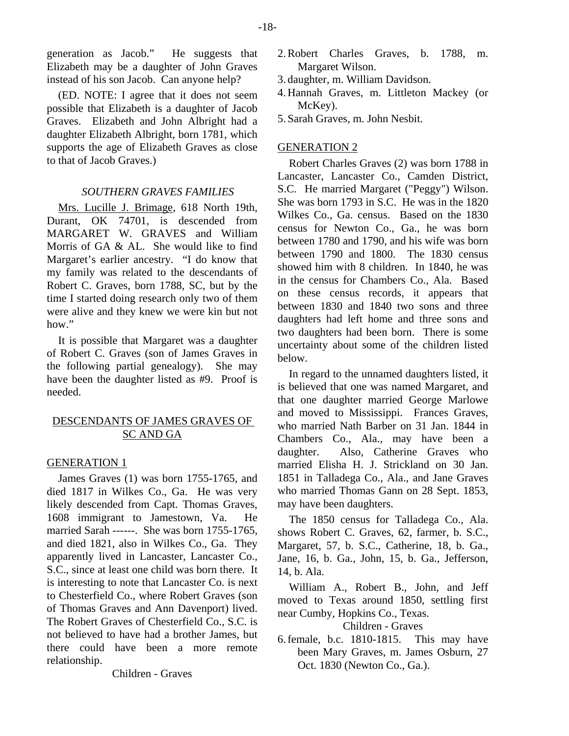generation as Jacob." He suggests that Elizabeth may be a daughter of John Graves instead of his son Jacob. Can anyone help?

(ED. NOTE: I agree that it does not seem possible that Elizabeth is a daughter of Jacob Graves. Elizabeth and John Albright had a daughter Elizabeth Albright, born 1781, which supports the age of Elizabeth Graves as close to that of Jacob Graves.)

## *SOUTHERN GRAVES FAMILIES*

Mrs. Lucille J. Brimage, 618 North 19th, Durant, OK 74701, is descended from MARGARET W. GRAVES and William Morris of GA & AL. She would like to find Margaret's earlier ancestry. "I do know that my family was related to the descendants of Robert C. Graves, born 1788, SC, but by the time I started doing research only two of them were alive and they knew we were kin but not how."

It is possible that Margaret was a daughter of Robert C. Graves (son of James Graves in the following partial genealogy). She may have been the daughter listed as #9. Proof is needed.

# DESCENDANTS OF JAMES GRAVES OF SC AND GA

## GENERATION 1

James Graves (1) was born 1755-1765, and died 1817 in Wilkes Co., Ga. He was very likely descended from Capt. Thomas Graves, 1608 immigrant to Jamestown, Va. He married Sarah ------. She was born 1755-1765, and died 1821, also in Wilkes Co., Ga. They apparently lived in Lancaster, Lancaster Co., S.C., since at least one child was born there. It is interesting to note that Lancaster Co. is next to Chesterfield Co., where Robert Graves (son of Thomas Graves and Ann Davenport) lived. The Robert Graves of Chesterfield Co., S.C. is not believed to have had a brother James, but there could have been a more remote relationship.

Children - Graves

- 2. Robert Charles Graves, b. 1788, m. Margaret Wilson.
- 3. daughter, m. William Davidson.
- 4. Hannah Graves, m. Littleton Mackey (or McKey).
- 5. Sarah Graves, m. John Nesbit.

## GENERATION 2

Robert Charles Graves (2) was born 1788 in Lancaster, Lancaster Co., Camden District, S.C. He married Margaret ("Peggy") Wilson. She was born 1793 in S.C. He was in the 1820 Wilkes Co., Ga. census. Based on the 1830 census for Newton Co., Ga., he was born between 1780 and 1790, and his wife was born between 1790 and 1800. The 1830 census showed him with 8 children. In 1840, he was in the census for Chambers Co., Ala. Based on these census records, it appears that between 1830 and 1840 two sons and three daughters had left home and three sons and two daughters had been born. There is some uncertainty about some of the children listed below.

In regard to the unnamed daughters listed, it is believed that one was named Margaret, and that one daughter married George Marlowe and moved to Mississippi. Frances Graves, who married Nath Barber on 31 Jan. 1844 in Chambers Co., Ala., may have been a daughter. Also, Catherine Graves who married Elisha H. J. Strickland on 30 Jan. 1851 in Talladega Co., Ala., and Jane Graves who married Thomas Gann on 28 Sept. 1853, may have been daughters.

The 1850 census for Talladega Co., Ala. shows Robert C. Graves, 62, farmer, b. S.C., Margaret, 57, b. S.C., Catherine, 18, b. Ga., Jane, 16, b. Ga., John, 15, b. Ga., Jefferson, 14, b. Ala.

William A., Robert B., John, and Jeff moved to Texas around 1850, settling first near Cumby, Hopkins Co., Texas.

# Children - Graves

6. female, b.c. 1810-1815. This may have been Mary Graves, m. James Osburn, 27 Oct. 1830 (Newton Co., Ga.).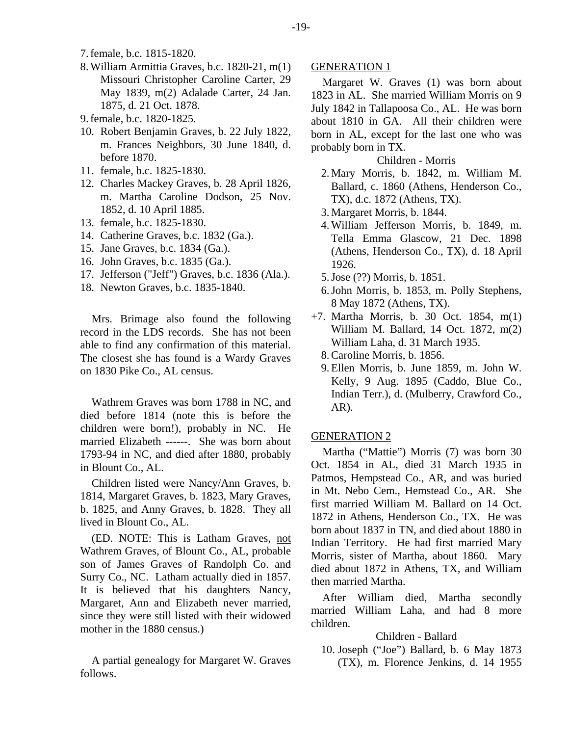- 7. female, b.c. 1815-1820.
- 8. William Armittia Graves, b.c. 1820-21, m(1) Missouri Christopher Caroline Carter, 29 May 1839, m(2) Adalade Carter, 24 Jan. 1875, d. 21 Oct. 1878.
- 9. female, b.c. 1820-1825.
- 10. Robert Benjamin Graves, b. 22 July 1822, m. Frances Neighbors, 30 June 1840, d. before 1870.
- 11. female, b.c. 1825-1830.
- 12. Charles Mackey Graves, b. 28 April 1826, m. Martha Caroline Dodson, 25 Nov. 1852, d. 10 April 1885.
- 13. female, b.c. 1825-1830.
- 14. Catherine Graves, b.c. 1832 (Ga.).
- 15. Jane Graves, b.c. 1834 (Ga.).
- 16. John Graves, b.c. 1835 (Ga.).
- 17. Jefferson ("Jeff") Graves, b.c. 1836 (Ala.).
- 18. Newton Graves, b.c. 1835-1840.

Mrs. Brimage also found the following record in the LDS records. She has not been able to find any confirmation of this material. The closest she has found is a Wardy Graves on 1830 Pike Co., AL census.

Wathrem Graves was born 1788 in NC, and died before 1814 (note this is before the children were born!), probably in NC. He married Elizabeth ------. She was born about 1793-94 in NC, and died after 1880, probably in Blount Co., AL.

Children listed were Nancy/Ann Graves, b. 1814, Margaret Graves, b. 1823, Mary Graves, b. 1825, and Anny Graves, b. 1828. They all lived in Blount Co., AL.

(ED. NOTE: This is Latham Graves, not Wathrem Graves, of Blount Co., AL, probable son of James Graves of Randolph Co. and Surry Co., NC. Latham actually died in 1857. It is believed that his daughters Nancy, Margaret, Ann and Elizabeth never married, since they were still listed with their widowed mother in the 1880 census.)

A partial genealogy for Margaret W. Graves follows.

## GENERATION 1

Margaret W. Graves (1) was born about 1823 in AL. She married William Morris on 9 July 1842 in Tallapoosa Co., AL. He was born about 1810 in GA. All their children were born in AL, except for the last one who was probably born in TX.

Children - Morris

- 2. Mary Morris, b. 1842, m. William M. Ballard, c. 1860 (Athens, Henderson Co., TX), d.c. 1872 (Athens, TX).
- 3. Margaret Morris, b. 1844.
- 4. William Jefferson Morris, b. 1849, m. Tella Emma Glascow, 21 Dec. 1898 (Athens, Henderson Co., TX), d. 18 April 1926.
- 5. Jose (??) Morris, b. 1851.
- 6. John Morris, b. 1853, m. Polly Stephens, 8 May 1872 (Athens, TX).
- +7. Martha Morris, b. 30 Oct. 1854, m(1) William M. Ballard, 14 Oct. 1872, m(2) William Laha, d. 31 March 1935.
	- 8. Caroline Morris, b. 1856.
	- 9. Ellen Morris, b. June 1859, m. John W. Kelly, 9 Aug. 1895 (Caddo, Blue Co., Indian Terr.), d. (Mulberry, Crawford Co., AR).

#### GENERATION 2

Martha ("Mattie") Morris (7) was born 30 Oct. 1854 in AL, died 31 March 1935 in Patmos, Hempstead Co., AR, and was buried in Mt. Nebo Cem., Hemstead Co., AR. She first married William M. Ballard on 14 Oct. 1872 in Athens, Henderson Co., TX. He was born about 1837 in TN, and died about 1880 in Indian Territory. He had first married Mary Morris, sister of Martha, about 1860. Mary died about 1872 in Athens, TX, and William then married Martha.

After William died, Martha secondly married William Laha, and had 8 more children.

## Children - Ballard

 10. Joseph ("Joe") Ballard, b. 6 May 1873 (TX), m. Florence Jenkins, d. 14 1955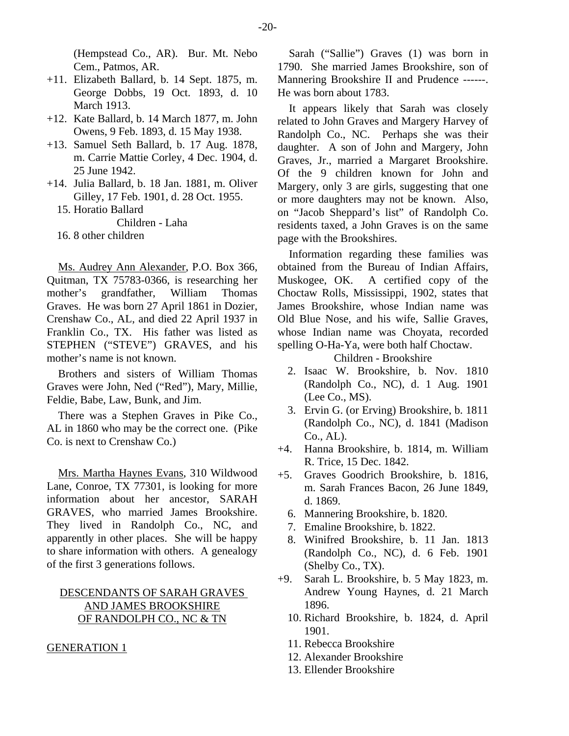(Hempstead Co., AR). Bur. Mt. Nebo Cem., Patmos, AR.

- +11. Elizabeth Ballard, b. 14 Sept. 1875, m. George Dobbs, 19 Oct. 1893, d. 10 March 1913.
- +12. Kate Ballard, b. 14 March 1877, m. John Owens, 9 Feb. 1893, d. 15 May 1938.
- +13. Samuel Seth Ballard, b. 17 Aug. 1878, m. Carrie Mattie Corley, 4 Dec. 1904, d. 25 June 1942.
- +14. Julia Ballard, b. 18 Jan. 1881, m. Oliver Gilley, 17 Feb. 1901, d. 28 Oct. 1955.
	- 15. Horatio Ballard

Children - Laha

16. 8 other children

Ms. Audrey Ann Alexander, P.O. Box 366, Quitman, TX 75783-0366, is researching her mother's grandfather, William Thomas Graves. He was born 27 April 1861 in Dozier, Crenshaw Co., AL, and died 22 April 1937 in Franklin Co., TX. His father was listed as STEPHEN ("STEVE") GRAVES, and his mother's name is not known.

Brothers and sisters of William Thomas Graves were John, Ned ("Red"), Mary, Millie, Feldie, Babe, Law, Bunk, and Jim.

There was a Stephen Graves in Pike Co., AL in 1860 who may be the correct one. (Pike Co. is next to Crenshaw Co.)

Mrs. Martha Haynes Evans, 310 Wildwood Lane, Conroe, TX 77301, is looking for more information about her ancestor, SARAH GRAVES, who married James Brookshire. They lived in Randolph Co., NC, and apparently in other places. She will be happy to share information with others. A genealogy of the first 3 generations follows.

# DESCENDANTS OF SARAH GRAVES AND JAMES BROOKSHIRE OF RANDOLPH CO., NC & TN

#### GENERATION 1

Sarah ("Sallie") Graves (1) was born in 1790. She married James Brookshire, son of Mannering Brookshire II and Prudence ------. He was born about 1783.

It appears likely that Sarah was closely related to John Graves and Margery Harvey of Randolph Co., NC. Perhaps she was their daughter. A son of John and Margery, John Graves, Jr., married a Margaret Brookshire. Of the 9 children known for John and Margery, only 3 are girls, suggesting that one or more daughters may not be known. Also, on "Jacob Sheppard's list" of Randolph Co. residents taxed, a John Graves is on the same page with the Brookshires.

Information regarding these families was obtained from the Bureau of Indian Affairs, Muskogee, OK. A certified copy of the Choctaw Rolls, Mississippi, 1902, states that James Brookshire, whose Indian name was Old Blue Nose, and his wife, Sallie Graves, whose Indian name was Choyata, recorded spelling O-Ha-Ya, were both half Choctaw.

Children - Brookshire

- 2. Isaac W. Brookshire, b. Nov. 1810 (Randolph Co., NC), d. 1 Aug. 1901 (Lee Co., MS).
- 3. Ervin G. (or Erving) Brookshire, b. 1811 (Randolph Co., NC), d. 1841 (Madison Co., AL).
- +4. Hanna Brookshire, b. 1814, m. William R. Trice, 15 Dec. 1842.
- +5. Graves Goodrich Brookshire, b. 1816, m. Sarah Frances Bacon, 26 June 1849, d. 1869.
	- 6. Mannering Brookshire, b. 1820.
	- 7. Emaline Brookshire, b. 1822.
	- 8. Winifred Brookshire, b. 11 Jan. 1813 (Randolph Co., NC), d. 6 Feb. 1901 (Shelby Co., TX).
- +9. Sarah L. Brookshire, b. 5 May 1823, m. Andrew Young Haynes, d. 21 March 1896.
	- 10. Richard Brookshire, b. 1824, d. April 1901.
	- 11. Rebecca Brookshire
	- 12. Alexander Brookshire
	- 13. Ellender Brookshire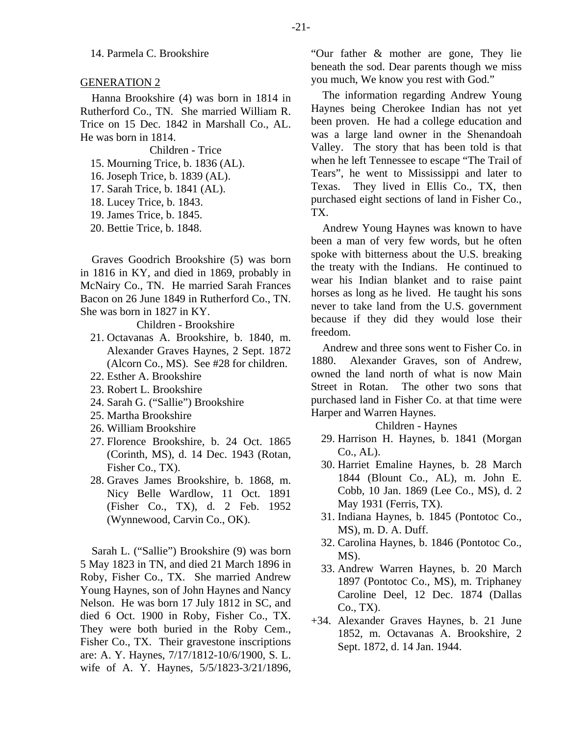14. Parmela C. Brookshire

#### GENERATION 2

Hanna Brookshire (4) was born in 1814 in Rutherford Co., TN. She married William R. Trice on 15 Dec. 1842 in Marshall Co., AL. He was born in 1814.

Children - Trice

- 15. Mourning Trice, b. 1836 (AL).
- 16. Joseph Trice, b. 1839 (AL).
- 17. Sarah Trice, b. 1841 (AL).
- 18. Lucey Trice, b. 1843.
- 19. James Trice, b. 1845.
- 20. Bettie Trice, b. 1848.

Graves Goodrich Brookshire (5) was born in 1816 in KY, and died in 1869, probably in McNairy Co., TN. He married Sarah Frances Bacon on 26 June 1849 in Rutherford Co., TN. She was born in 1827 in KY.

Children - Brookshire

- 21. Octavanas A. Brookshire, b. 1840, m. Alexander Graves Haynes, 2 Sept. 1872 (Alcorn Co., MS). See #28 for children.
- 22. Esther A. Brookshire
- 23. Robert L. Brookshire
- 24. Sarah G. ("Sallie") Brookshire
- 25. Martha Brookshire
- 26. William Brookshire
- 27. Florence Brookshire, b. 24 Oct. 1865 (Corinth, MS), d. 14 Dec. 1943 (Rotan, Fisher Co., TX).
- 28. Graves James Brookshire, b. 1868, m. Nicy Belle Wardlow, 11 Oct. 1891 (Fisher Co., TX), d. 2 Feb. 1952 (Wynnewood, Carvin Co., OK).

Sarah L. ("Sallie") Brookshire (9) was born 5 May 1823 in TN, and died 21 March 1896 in Roby, Fisher Co., TX. She married Andrew Young Haynes, son of John Haynes and Nancy Nelson. He was born 17 July 1812 in SC, and died 6 Oct. 1900 in Roby, Fisher Co., TX. They were both buried in the Roby Cem., Fisher Co., TX. Their gravestone inscriptions are: A. Y. Haynes, 7/17/1812-10/6/1900, S. L. wife of A. Y. Haynes, 5/5/1823-3/21/1896, "Our father & mother are gone, They lie beneath the sod. Dear parents though we miss you much, We know you rest with God."

The information regarding Andrew Young Haynes being Cherokee Indian has not yet been proven. He had a college education and was a large land owner in the Shenandoah Valley. The story that has been told is that when he left Tennessee to escape "The Trail of Tears", he went to Mississippi and later to Texas. They lived in Ellis Co., TX, then purchased eight sections of land in Fisher Co., TX.

Andrew Young Haynes was known to have been a man of very few words, but he often spoke with bitterness about the U.S. breaking the treaty with the Indians. He continued to wear his Indian blanket and to raise paint horses as long as he lived. He taught his sons never to take land from the U.S. government because if they did they would lose their freedom.

Andrew and three sons went to Fisher Co. in 1880. Alexander Graves, son of Andrew, owned the land north of what is now Main Street in Rotan. The other two sons that purchased land in Fisher Co. at that time were Harper and Warren Haynes.

Children - Haynes

- 29. Harrison H. Haynes, b. 1841 (Morgan  $Co.$  AL $).$
- 30. Harriet Emaline Haynes, b. 28 March 1844 (Blount Co., AL), m. John E. Cobb, 10 Jan. 1869 (Lee Co., MS), d. 2 May 1931 (Ferris, TX).
- 31. Indiana Haynes, b. 1845 (Pontotoc Co., MS), m. D. A. Duff.
- 32. Carolina Haynes, b. 1846 (Pontotoc Co., MS).
- 33. Andrew Warren Haynes, b. 20 March 1897 (Pontotoc Co., MS), m. Triphaney Caroline Deel, 12 Dec. 1874 (Dallas Co., TX).
- +34. Alexander Graves Haynes, b. 21 June 1852, m. Octavanas A. Brookshire, 2 Sept. 1872, d. 14 Jan. 1944.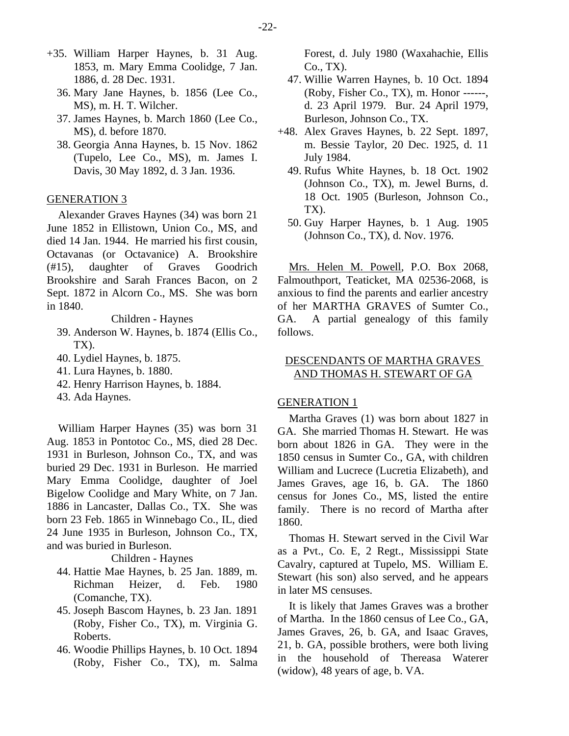- +35. William Harper Haynes, b. 31 Aug. 1853, m. Mary Emma Coolidge, 7 Jan. 1886, d. 28 Dec. 1931.
	- 36. Mary Jane Haynes, b. 1856 (Lee Co., MS), m. H. T. Wilcher.
	- 37. James Haynes, b. March 1860 (Lee Co., MS), d. before 1870.
	- 38. Georgia Anna Haynes, b. 15 Nov. 1862 (Tupelo, Lee Co., MS), m. James I. Davis, 30 May 1892, d. 3 Jan. 1936.

#### GENERATION 3

Alexander Graves Haynes (34) was born 21 June 1852 in Ellistown, Union Co., MS, and died 14 Jan. 1944. He married his first cousin, Octavanas (or Octavanice) A. Brookshire (#15), daughter of Graves Goodrich Brookshire and Sarah Frances Bacon, on 2 Sept. 1872 in Alcorn Co., MS. She was born in 1840.

Children - Haynes

- 39. Anderson W. Haynes, b. 1874 (Ellis Co., TX).
- 40. Lydiel Haynes, b. 1875.
- 41. Lura Haynes, b. 1880.
- 42. Henry Harrison Haynes, b. 1884.
- 43. Ada Haynes.

William Harper Haynes (35) was born 31 Aug. 1853 in Pontotoc Co., MS, died 28 Dec. 1931 in Burleson, Johnson Co., TX, and was buried 29 Dec. 1931 in Burleson. He married Mary Emma Coolidge, daughter of Joel Bigelow Coolidge and Mary White, on 7 Jan. 1886 in Lancaster, Dallas Co., TX. She was born 23 Feb. 1865 in Winnebago Co., IL, died 24 June 1935 in Burleson, Johnson Co., TX, and was buried in Burleson.

Children - Haynes

- 44. Hattie Mae Haynes, b. 25 Jan. 1889, m. Richman Heizer, d. Feb. 1980 (Comanche, TX).
- 45. Joseph Bascom Haynes, b. 23 Jan. 1891 (Roby, Fisher Co., TX), m. Virginia G. Roberts.
- 46. Woodie Phillips Haynes, b. 10 Oct. 1894 (Roby, Fisher Co., TX), m. Salma

Forest, d. July 1980 (Waxahachie, Ellis Co., TX).

- 47. Willie Warren Haynes, b. 10 Oct. 1894 (Roby, Fisher Co., TX), m. Honor ------, d. 23 April 1979. Bur. 24 April 1979, Burleson, Johnson Co., TX.
- +48. Alex Graves Haynes, b. 22 Sept. 1897, m. Bessie Taylor, 20 Dec. 1925, d. 11 July 1984.
	- 49. Rufus White Haynes, b. 18 Oct. 1902 (Johnson Co., TX), m. Jewel Burns, d. 18 Oct. 1905 (Burleson, Johnson Co., TX).
	- 50. Guy Harper Haynes, b. 1 Aug. 1905 (Johnson Co., TX), d. Nov. 1976.

Mrs. Helen M. Powell, P.O. Box 2068, Falmouthport, Teaticket, MA 02536-2068, is anxious to find the parents and earlier ancestry of her MARTHA GRAVES of Sumter Co., GA. A partial genealogy of this family follows.

# DESCENDANTS OF MARTHA GRAVES AND THOMAS H. STEWART OF GA

#### GENERATION 1

Martha Graves (1) was born about 1827 in GA. She married Thomas H. Stewart. He was born about 1826 in GA. They were in the 1850 census in Sumter Co., GA, with children William and Lucrece (Lucretia Elizabeth), and James Graves, age 16, b. GA. The 1860 census for Jones Co., MS, listed the entire family. There is no record of Martha after 1860.

Thomas H. Stewart served in the Civil War as a Pvt., Co. E, 2 Regt., Mississippi State Cavalry, captured at Tupelo, MS. William E. Stewart (his son) also served, and he appears in later MS censuses.

It is likely that James Graves was a brother of Martha. In the 1860 census of Lee Co., GA, James Graves, 26, b. GA, and Isaac Graves, 21, b. GA, possible brothers, were both living in the household of Thereasa Waterer (widow), 48 years of age, b. VA.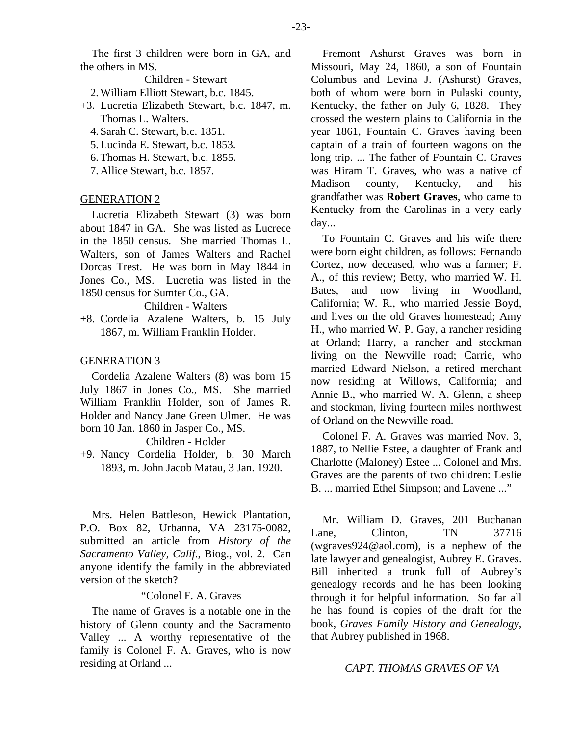The first 3 children were born in GA, and the others in MS.

Children - Stewart

2. William Elliott Stewart, b.c. 1845.

- +3. Lucretia Elizabeth Stewart, b.c. 1847, m. Thomas L. Walters.
	- 4. Sarah C. Stewart, b.c. 1851.
	- 5. Lucinda E. Stewart, b.c. 1853.
	- 6. Thomas H. Stewart, b.c. 1855.
	- 7. Allice Stewart, b.c. 1857.

#### GENERATION 2

Lucretia Elizabeth Stewart (3) was born about 1847 in GA. She was listed as Lucrece in the 1850 census. She married Thomas L. Walters, son of James Walters and Rachel Dorcas Trest. He was born in May 1844 in Jones Co., MS. Lucretia was listed in the 1850 census for Sumter Co., GA.

#### Children - Walters

+8. Cordelia Azalene Walters, b. 15 July 1867, m. William Franklin Holder.

#### GENERATION 3

Cordelia Azalene Walters (8) was born 15 July 1867 in Jones Co., MS. She married William Franklin Holder, son of James R. Holder and Nancy Jane Green Ulmer. He was born 10 Jan. 1860 in Jasper Co., MS.

# Children - Holder

+9. Nancy Cordelia Holder, b. 30 March 1893, m. John Jacob Matau, 3 Jan. 1920.

Mrs. Helen Battleson, Hewick Plantation, P.O. Box 82, Urbanna, VA 23175-0082, submitted an article from *History of the Sacramento Valley, Calif*., Biog., vol. 2. Can anyone identify the family in the abbreviated version of the sketch?

# "Colonel F. A. Graves

The name of Graves is a notable one in the history of Glenn county and the Sacramento Valley ... A worthy representative of the family is Colonel F. A. Graves, who is now residing at Orland ...

Fremont Ashurst Graves was born in Missouri, May 24, 1860, a son of Fountain Columbus and Levina J. (Ashurst) Graves, both of whom were born in Pulaski county, Kentucky, the father on July 6, 1828. They crossed the western plains to California in the year 1861, Fountain C. Graves having been captain of a train of fourteen wagons on the long trip. ... The father of Fountain C. Graves was Hiram T. Graves, who was a native of Madison county, Kentucky, and his grandfather was **Robert Graves**, who came to Kentucky from the Carolinas in a very early day...

To Fountain C. Graves and his wife there were born eight children, as follows: Fernando Cortez, now deceased, who was a farmer; F. A., of this review; Betty, who married W. H. Bates, and now living in Woodland, California; W. R., who married Jessie Boyd, and lives on the old Graves homestead; Amy H., who married W. P. Gay, a rancher residing at Orland; Harry, a rancher and stockman living on the Newville road; Carrie, who married Edward Nielson, a retired merchant now residing at Willows, California; and Annie B., who married W. A. Glenn, a sheep and stockman, living fourteen miles northwest of Orland on the Newville road.

Colonel F. A. Graves was married Nov. 3, 1887, to Nellie Estee, a daughter of Frank and Charlotte (Maloney) Estee ... Colonel and Mrs. Graves are the parents of two children: Leslie B. ... married Ethel Simpson; and Lavene ..."

Mr. William D. Graves, 201 Buchanan Lane, Clinton, TN 37716 (wgraves924@aol.com), is a nephew of the late lawyer and genealogist, Aubrey E. Graves. Bill inherited a trunk full of Aubrey's genealogy records and he has been looking through it for helpful information. So far all he has found is copies of the draft for the book, *Graves Family History and Genealogy*, that Aubrey published in 1968.

## *CAPT. THOMAS GRAVES OF VA*